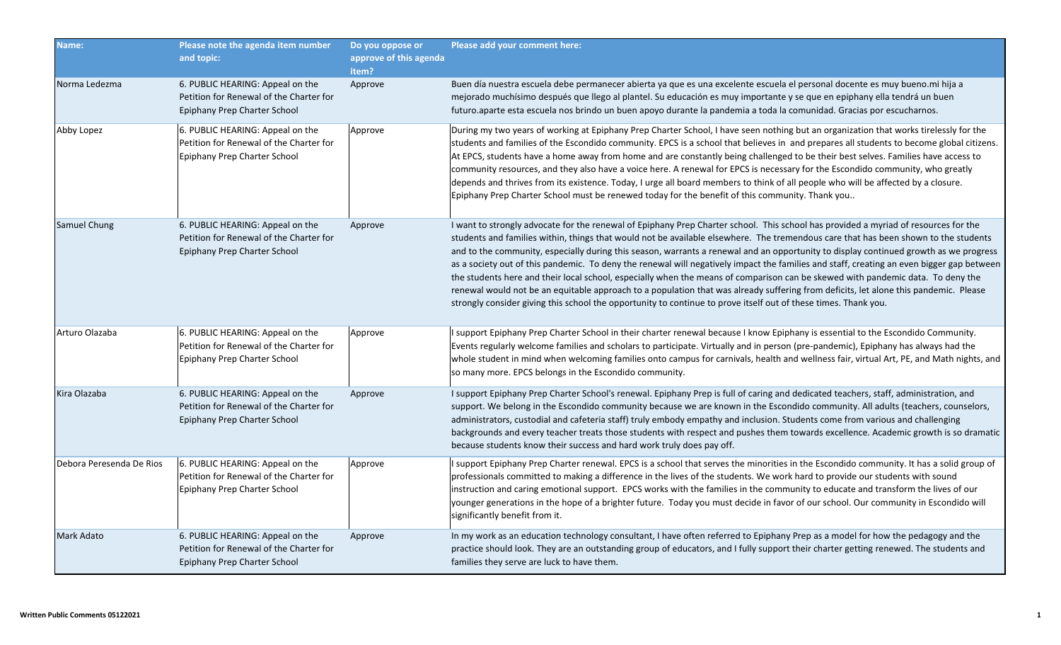| Name:                    | Please note the agenda item number<br>and topic:                                                            | Do you oppose or<br>approve of this agenda<br>item? | Please add your comment here:                                                                                                                                                                                                                                                                                                                                                                                                                                                                                                                                                                                                                                                                                                                                                                                                                                                                                                                                  |
|--------------------------|-------------------------------------------------------------------------------------------------------------|-----------------------------------------------------|----------------------------------------------------------------------------------------------------------------------------------------------------------------------------------------------------------------------------------------------------------------------------------------------------------------------------------------------------------------------------------------------------------------------------------------------------------------------------------------------------------------------------------------------------------------------------------------------------------------------------------------------------------------------------------------------------------------------------------------------------------------------------------------------------------------------------------------------------------------------------------------------------------------------------------------------------------------|
| Norma Ledezma            | 6. PUBLIC HEARING: Appeal on the<br>Petition for Renewal of the Charter for<br>Epiphany Prep Charter School | Approve                                             | Buen día nuestra escuela debe permanecer abierta ya que es una excelente escuela el personal docente es muy bueno.mi hija a<br>mejorado muchísimo después que llego al plantel. Su educación es muy importante y se que en epiphany ella tendrá un buen<br>futuro.aparte esta escuela nos brindo un buen apoyo durante la pandemia a toda la comunidad. Gracias por escucharnos.                                                                                                                                                                                                                                                                                                                                                                                                                                                                                                                                                                               |
| Abby Lopez               | 6. PUBLIC HEARING: Appeal on the<br>Petition for Renewal of the Charter for<br>Epiphany Prep Charter School | Approve                                             | During my two years of working at Epiphany Prep Charter School, I have seen nothing but an organization that works tirelessly for the<br>students and families of the Escondido community. EPCS is a school that believes in and prepares all students to become global citizens.<br>At EPCS, students have a home away from home and are constantly being challenged to be their best selves. Families have access to<br>community resources, and they also have a voice here. A renewal for EPCS is necessary for the Escondido community, who greatly<br>depends and thrives from its existence. Today, I urge all board members to think of all people who will be affected by a closure.<br>Epiphany Prep Charter School must be renewed today for the benefit of this community. Thank you                                                                                                                                                               |
| Samuel Chung             | 6. PUBLIC HEARING: Appeal on the<br>Petition for Renewal of the Charter for<br>Epiphany Prep Charter School | Approve                                             | I want to strongly advocate for the renewal of Epiphany Prep Charter school. This school has provided a myriad of resources for the<br>students and families within, things that would not be available elsewhere. The tremendous care that has been shown to the students<br>and to the community, especially during this season, warrants a renewal and an opportunity to display continued growth as we progress<br>as a society out of this pandemic. To deny the renewal will negatively impact the families and staff, creating an even bigger gap between<br>the students here and their local school, especially when the means of comparison can be skewed with pandemic data. To deny the<br>renewal would not be an equitable approach to a population that was already suffering from deficits, let alone this pandemic. Please<br>strongly consider giving this school the opportunity to continue to prove itself out of these times. Thank you. |
| Arturo Olazaba           | 6. PUBLIC HEARING: Appeal on the<br>Petition for Renewal of the Charter for<br>Epiphany Prep Charter School | Approve                                             | I support Epiphany Prep Charter School in their charter renewal because I know Epiphany is essential to the Escondido Community.<br>Events regularly welcome families and scholars to participate. Virtually and in person (pre-pandemic), Epiphany has always had the<br>whole student in mind when welcoming families onto campus for carnivals, health and wellness fair, virtual Art, PE, and Math nights, and<br>so many more. EPCS belongs in the Escondido community.                                                                                                                                                                                                                                                                                                                                                                                                                                                                                   |
| Kira Olazaba             | 6. PUBLIC HEARING: Appeal on the<br>Petition for Renewal of the Charter for<br>Epiphany Prep Charter School | Approve                                             | I support Epiphany Prep Charter School's renewal. Epiphany Prep is full of caring and dedicated teachers, staff, administration, and<br>support. We belong in the Escondido community because we are known in the Escondido community. All adults (teachers, counselors,<br>administrators, custodial and cafeteria staff) truly embody empathy and inclusion. Students come from various and challenging<br>backgrounds and every teacher treats those students with respect and pushes them towards excellence. Academic growth is so dramatic<br>because students know their success and hard work truly does pay off.                                                                                                                                                                                                                                                                                                                                      |
| Debora Peresenda De Rios | 6. PUBLIC HEARING: Appeal on the<br>Petition for Renewal of the Charter for<br>Epiphany Prep Charter School | Approve                                             | I support Epiphany Prep Charter renewal. EPCS is a school that serves the minorities in the Escondido community. It has a solid group of<br>professionals committed to making a difference in the lives of the students. We work hard to provide our students with sound<br>instruction and caring emotional support. EPCS works with the families in the community to educate and transform the lives of our<br>younger generations in the hope of a brighter future. Today you must decide in favor of our school. Our community in Escondido will<br>significantly benefit from it.                                                                                                                                                                                                                                                                                                                                                                         |
| <b>Mark Adato</b>        | 6. PUBLIC HEARING: Appeal on the<br>Petition for Renewal of the Charter for<br>Epiphany Prep Charter School | Approve                                             | In my work as an education technology consultant, I have often referred to Epiphany Prep as a model for how the pedagogy and the<br>practice should look. They are an outstanding group of educators, and I fully support their charter getting renewed. The students and<br>families they serve are luck to have them.                                                                                                                                                                                                                                                                                                                                                                                                                                                                                                                                                                                                                                        |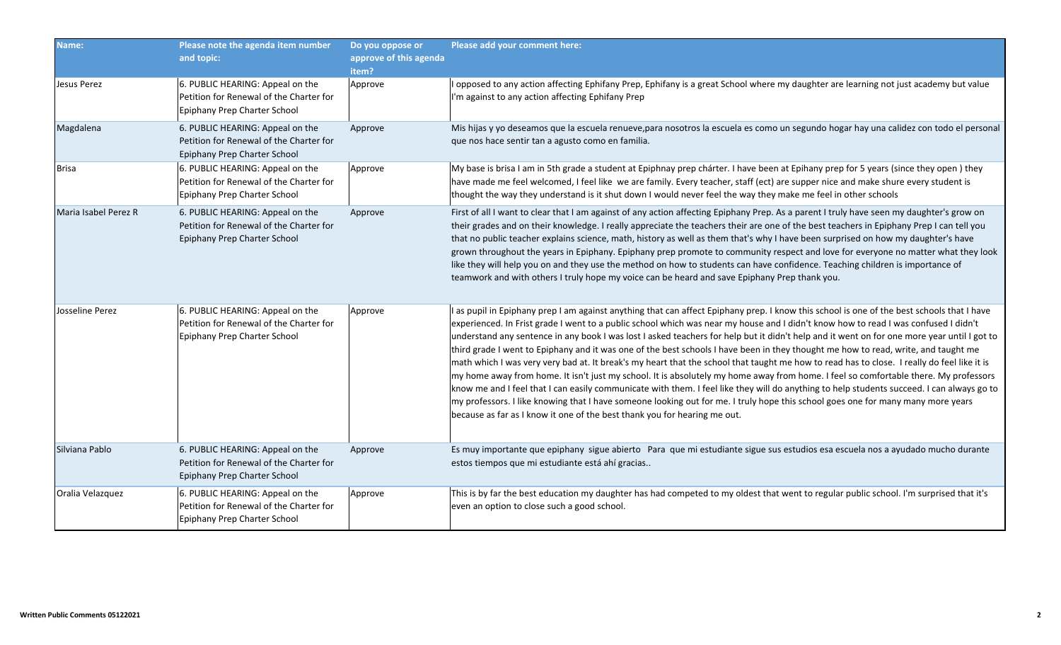| Name:                | Please note the agenda item number<br>and topic:                                                            | Do you oppose or<br>approve of this agenda<br>item? | Please add your comment here:                                                                                                                                                                                                                                                                                                                                                                                                                                                                                                                                                                                                                                                                                                                                                                                                                                                                                                                                                                                                                                                                                                                                                                                                |
|----------------------|-------------------------------------------------------------------------------------------------------------|-----------------------------------------------------|------------------------------------------------------------------------------------------------------------------------------------------------------------------------------------------------------------------------------------------------------------------------------------------------------------------------------------------------------------------------------------------------------------------------------------------------------------------------------------------------------------------------------------------------------------------------------------------------------------------------------------------------------------------------------------------------------------------------------------------------------------------------------------------------------------------------------------------------------------------------------------------------------------------------------------------------------------------------------------------------------------------------------------------------------------------------------------------------------------------------------------------------------------------------------------------------------------------------------|
| Jesus Perez          | 6. PUBLIC HEARING: Appeal on the<br>Petition for Renewal of the Charter for<br>Epiphany Prep Charter School | Approve                                             | I opposed to any action affecting Ephifany Prep, Ephifany is a great School where my daughter are learning not just academy but value<br>I'm against to any action affecting Ephifany Prep                                                                                                                                                                                                                                                                                                                                                                                                                                                                                                                                                                                                                                                                                                                                                                                                                                                                                                                                                                                                                                   |
| Magdalena            | 6. PUBLIC HEARING: Appeal on the<br>Petition for Renewal of the Charter for<br>Epiphany Prep Charter School | Approve                                             | Mis hijas y yo deseamos que la escuela renueve, para nosotros la escuela es como un segundo hogar hay una calidez con todo el personal<br>que nos hace sentir tan a agusto como en familia.                                                                                                                                                                                                                                                                                                                                                                                                                                                                                                                                                                                                                                                                                                                                                                                                                                                                                                                                                                                                                                  |
| <b>Brisa</b>         | 6. PUBLIC HEARING: Appeal on the<br>Petition for Renewal of the Charter for<br>Epiphany Prep Charter School | Approve                                             | My base is brisa I am in 5th grade a student at Epiphnay prep chárter. I have been at Epihany prep for 5 years (since they open) they<br>have made me feel welcomed, I feel like we are family. Every teacher, staff (ect) are supper nice and make shure every student is<br>thought the way they understand is it shut down I would never feel the way they make me feel in other schools                                                                                                                                                                                                                                                                                                                                                                                                                                                                                                                                                                                                                                                                                                                                                                                                                                  |
| Maria Isabel Perez R | 6. PUBLIC HEARING: Appeal on the<br>Petition for Renewal of the Charter for<br>Epiphany Prep Charter School | Approve                                             | First of all I want to clear that I am against of any action affecting Epiphany Prep. As a parent I truly have seen my daughter's grow on<br>their grades and on their knowledge. I really appreciate the teachers their are one of the best teachers in Epiphany Prep I can tell you<br>that no public teacher explains science, math, history as well as them that's why I have been surprised on how my daughter's have<br>grown throughout the years in Epiphany. Epiphany prep promote to community respect and love for everyone no matter what they look<br>like they will help you on and they use the method on how to students can have confidence. Teaching children is importance of<br>teamwork and with others I truly hope my voice can be heard and save Epiphany Prep thank you.                                                                                                                                                                                                                                                                                                                                                                                                                            |
| Josseline Perez      | 6. PUBLIC HEARING: Appeal on the<br>Petition for Renewal of the Charter for<br>Epiphany Prep Charter School | Approve                                             | I as pupil in Epiphany prep I am against anything that can affect Epiphany prep. I know this school is one of the best schools that I have<br>experienced. In Frist grade I went to a public school which was near my house and I didn't know how to read I was confused I didn't<br>understand any sentence in any book I was lost I asked teachers for help but it didn't help and it went on for one more year until I got to<br>third grade I went to Epiphany and it was one of the best schools I have been in they thought me how to read, write, and taught me<br>math which I was very very bad at. It break's my heart that the school that taught me how to read has to close. I really do feel like it is<br>my home away from home. It isn't just my school. It is absolutely my home away from home. I feel so comfortable there. My professors<br>know me and I feel that I can easily communicate with them. I feel like they will do anything to help students succeed. I can always go to<br>my professors. I like knowing that I have someone looking out for me. I truly hope this school goes one for many many more years<br>because as far as I know it one of the best thank you for hearing me out. |
| Silviana Pablo       | 6. PUBLIC HEARING: Appeal on the<br>Petition for Renewal of the Charter for<br>Epiphany Prep Charter School | Approve                                             | Es muy importante que epiphany sigue abierto Para que mi estudiante sigue sus estudios esa escuela nos a ayudado mucho durante<br>estos tiempos que mi estudiante está ahí gracias                                                                                                                                                                                                                                                                                                                                                                                                                                                                                                                                                                                                                                                                                                                                                                                                                                                                                                                                                                                                                                           |
| Oralia Velazquez     | 6. PUBLIC HEARING: Appeal on the<br>Petition for Renewal of the Charter for<br>Epiphany Prep Charter School | Approve                                             | This is by far the best education my daughter has had competed to my oldest that went to regular public school. I'm surprised that it's<br>even an option to close such a good school.                                                                                                                                                                                                                                                                                                                                                                                                                                                                                                                                                                                                                                                                                                                                                                                                                                                                                                                                                                                                                                       |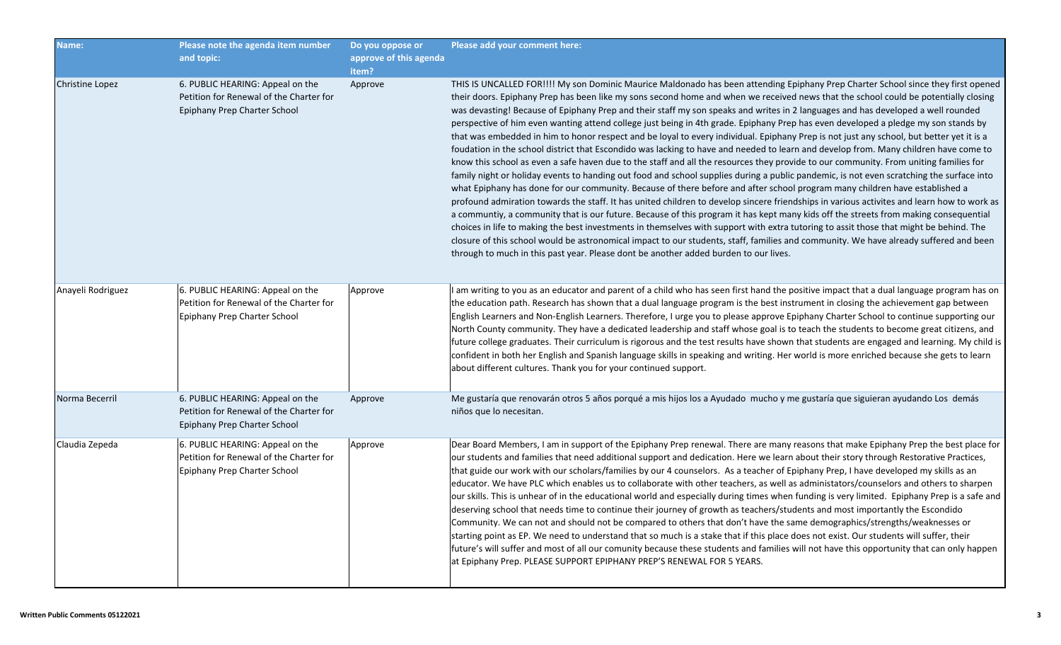| Name:                  | Please note the agenda item number<br>and topic:                                                            | Do you oppose or<br>approve of this agenda<br>item? | Please add your comment here:                                                                                                                                                                                                                                                                                                                                                                                                                                                                                                                                                                                                                                                                                                                                                                                                                                                                                                                                                                                                                                                                                                                                                                                                                                                                                                                                                                                                                                                                                                                                                                                                                                                                                                                                                                                                                                                                                               |
|------------------------|-------------------------------------------------------------------------------------------------------------|-----------------------------------------------------|-----------------------------------------------------------------------------------------------------------------------------------------------------------------------------------------------------------------------------------------------------------------------------------------------------------------------------------------------------------------------------------------------------------------------------------------------------------------------------------------------------------------------------------------------------------------------------------------------------------------------------------------------------------------------------------------------------------------------------------------------------------------------------------------------------------------------------------------------------------------------------------------------------------------------------------------------------------------------------------------------------------------------------------------------------------------------------------------------------------------------------------------------------------------------------------------------------------------------------------------------------------------------------------------------------------------------------------------------------------------------------------------------------------------------------------------------------------------------------------------------------------------------------------------------------------------------------------------------------------------------------------------------------------------------------------------------------------------------------------------------------------------------------------------------------------------------------------------------------------------------------------------------------------------------------|
| <b>Christine Lopez</b> | 6. PUBLIC HEARING: Appeal on the<br>Petition for Renewal of the Charter for<br>Epiphany Prep Charter School | Approve                                             | THIS IS UNCALLED FOR!!!! My son Dominic Maurice Maldonado has been attending Epiphany Prep Charter School since they first opened<br>their doors. Epiphany Prep has been like my sons second home and when we received news that the school could be potentially closing<br>was devasting! Because of Epiphany Prep and their staff my son speaks and writes in 2 languages and has developed a well rounded<br>perspective of him even wanting attend college just being in 4th grade. Epiphany Prep has even developed a pledge my son stands by<br>that was embedded in him to honor respect and be loyal to every individual. Epiphany Prep is not just any school, but better yet it is a<br>foudation in the school district that Escondido was lacking to have and needed to learn and develop from. Many children have come to<br>know this school as even a safe haven due to the staff and all the resources they provide to our community. From uniting families for<br>family night or holiday events to handing out food and school supplies during a public pandemic, is not even scratching the surface into<br>what Epiphany has done for our community. Because of there before and after school program many children have established a<br>profound admiration towards the staff. It has united children to develop sincere friendships in various activites and learn how to work as<br>a communtiy, a community that is our future. Because of this program it has kept many kids off the streets from making consequential<br>choices in life to making the best investments in themselves with support with extra tutoring to assit those that might be behind. The<br>closure of this school would be astronomical impact to our students, staff, families and community. We have already suffered and been<br>through to much in this past year. Please dont be another added burden to our lives. |
| Anayeli Rodriguez      | 6. PUBLIC HEARING: Appeal on the<br>Petition for Renewal of the Charter for<br>Epiphany Prep Charter School | Approve                                             | I am writing to you as an educator and parent of a child who has seen first hand the positive impact that a dual language program has on<br>the education path. Research has shown that a dual language program is the best instrument in closing the achievement gap between<br>English Learners and Non-English Learners. Therefore, I urge you to please approve Epiphany Charter School to continue supporting our<br>North County community. They have a dedicated leadership and staff whose goal is to teach the students to become great citizens, and<br>future college graduates. Their curriculum is rigorous and the test results have shown that students are engaged and learning. My child is<br>confident in both her English and Spanish language skills in speaking and writing. Her world is more enriched because she gets to learn<br>about different cultures. Thank you for your continued support.                                                                                                                                                                                                                                                                                                                                                                                                                                                                                                                                                                                                                                                                                                                                                                                                                                                                                                                                                                                                  |
| Norma Becerril         | 6. PUBLIC HEARING: Appeal on the<br>Petition for Renewal of the Charter for<br>Epiphany Prep Charter School | Approve                                             | Me gustaría que renovarán otros 5 años porqué a mis hijos los a Ayudado mucho y me gustaría que siguieran ayudando Los demás<br>niños que lo necesitan.                                                                                                                                                                                                                                                                                                                                                                                                                                                                                                                                                                                                                                                                                                                                                                                                                                                                                                                                                                                                                                                                                                                                                                                                                                                                                                                                                                                                                                                                                                                                                                                                                                                                                                                                                                     |
| Claudia Zepeda         | 6. PUBLIC HEARING: Appeal on the<br>Petition for Renewal of the Charter for<br>Epiphany Prep Charter School | Approve                                             | Dear Board Members, I am in support of the Epiphany Prep renewal. There are many reasons that make Epiphany Prep the best place for<br>our students and families that need additional support and dedication. Here we learn about their story through Restorative Practices,<br>that guide our work with our scholars/families by our 4 counselors. As a teacher of Epiphany Prep, I have developed my skills as an<br>educator. We have PLC which enables us to collaborate with other teachers, as well as administators/counselors and others to sharpen<br>our skills. This is unhear of in the educational world and especially during times when funding is very limited. Epiphany Prep is a safe and<br>deserving school that needs time to continue their journey of growth as teachers/students and most importantly the Escondido<br>Community. We can not and should not be compared to others that don't have the same demographics/strengths/weaknesses or<br>starting point as EP. We need to understand that so much is a stake that if this place does not exist. Our students will suffer, their<br>future's will suffer and most of all our comunity because these students and families will not have this opportunity that can only happen<br>at Epiphany Prep. PLEASE SUPPORT EPIPHANY PREP'S RENEWAL FOR 5 YEARS.                                                                                                                                                                                                                                                                                                                                                                                                                                                                                                                                                                                     |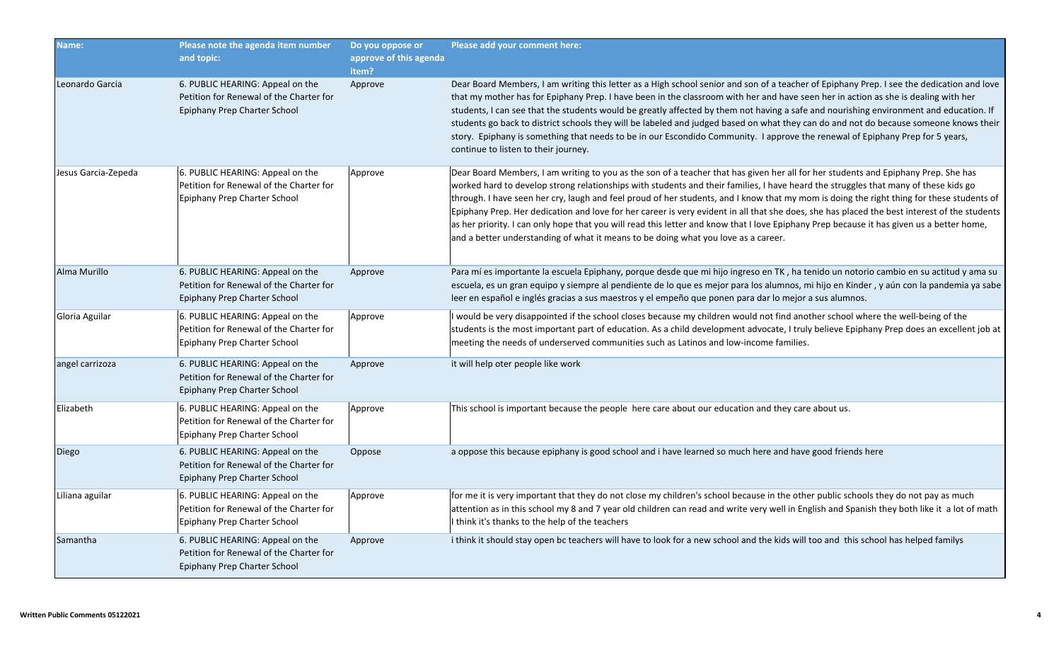| Name:               | Please note the agenda item number<br>and topic:                                                            | Do you oppose or<br>approve of this agenda<br>item? | Please add your comment here:                                                                                                                                                                                                                                                                                                                                                                                                                                                                                                                                                                                                                                                                                                                                                                             |
|---------------------|-------------------------------------------------------------------------------------------------------------|-----------------------------------------------------|-----------------------------------------------------------------------------------------------------------------------------------------------------------------------------------------------------------------------------------------------------------------------------------------------------------------------------------------------------------------------------------------------------------------------------------------------------------------------------------------------------------------------------------------------------------------------------------------------------------------------------------------------------------------------------------------------------------------------------------------------------------------------------------------------------------|
| Leonardo Garcia     | 6. PUBLIC HEARING: Appeal on the<br>Petition for Renewal of the Charter for<br>Epiphany Prep Charter School | Approve                                             | Dear Board Members, I am writing this letter as a High school senior and son of a teacher of Epiphany Prep. I see the dedication and love<br>that my mother has for Epiphany Prep. I have been in the classroom with her and have seen her in action as she is dealing with her<br>students, I can see that the students would be greatly affected by them not having a safe and nourishing environment and education. If<br>students go back to district schools they will be labeled and judged based on what they can do and not do because someone knows their<br>story. Epiphany is something that needs to be in our Escondido Community. I approve the renewal of Epiphany Prep for 5 years,<br>continue to listen to their journey.                                                               |
| Jesus Garcia-Zepeda | 6. PUBLIC HEARING: Appeal on the<br>Petition for Renewal of the Charter for<br>Epiphany Prep Charter School | Approve                                             | Dear Board Members, I am writing to you as the son of a teacher that has given her all for her students and Epiphany Prep. She has<br>worked hard to develop strong relationships with students and their families, I have heard the struggles that many of these kids go<br>through. I have seen her cry, laugh and feel proud of her students, and I know that my mom is doing the right thing for these students of<br>Epiphany Prep. Her dedication and love for her career is very evident in all that she does, she has placed the best interest of the students<br>as her priority. I can only hope that you will read this letter and know that I love Epiphany Prep because it has given us a better home,<br>and a better understanding of what it means to be doing what you love as a career. |
| Alma Murillo        | 6. PUBLIC HEARING: Appeal on the<br>Petition for Renewal of the Charter for<br>Epiphany Prep Charter School | Approve                                             | Para mí es importante la escuela Epiphany, porque desde que mi hijo ingreso en TK, ha tenido un notorio cambio en su actitud y ama su<br>escuela, es un gran equipo y siempre al pendiente de lo que es mejor para los alumnos, mi hijo en Kinder, y aún con la pandemia ya sabe<br>leer en español e inglés gracias a sus maestros y el empeño que ponen para dar lo mejor a sus alumnos.                                                                                                                                                                                                                                                                                                                                                                                                                |
| Gloria Aguilar      | 6. PUBLIC HEARING: Appeal on the<br>Petition for Renewal of the Charter for<br>Epiphany Prep Charter School | Approve                                             | I would be very disappointed if the school closes because my children would not find another school where the well-being of the<br>students is the most important part of education. As a child development advocate, I truly believe Epiphany Prep does an excellent job at<br>meeting the needs of underserved communities such as Latinos and low-income families.                                                                                                                                                                                                                                                                                                                                                                                                                                     |
| angel carrizoza     | 6. PUBLIC HEARING: Appeal on the<br>Petition for Renewal of the Charter for<br>Epiphany Prep Charter School | Approve                                             | it will help oter people like work                                                                                                                                                                                                                                                                                                                                                                                                                                                                                                                                                                                                                                                                                                                                                                        |
| Elizabeth           | 6. PUBLIC HEARING: Appeal on the<br>Petition for Renewal of the Charter for<br>Epiphany Prep Charter School | Approve                                             | This school is important because the people here care about our education and they care about us.                                                                                                                                                                                                                                                                                                                                                                                                                                                                                                                                                                                                                                                                                                         |
| Diego               | 6. PUBLIC HEARING: Appeal on the<br>Petition for Renewal of the Charter for<br>Epiphany Prep Charter School | Oppose                                              | a oppose this because epiphany is good school and i have learned so much here and have good friends here                                                                                                                                                                                                                                                                                                                                                                                                                                                                                                                                                                                                                                                                                                  |
| Liliana aguilar     | 6. PUBLIC HEARING: Appeal on the<br>Petition for Renewal of the Charter for<br>Epiphany Prep Charter School | Approve                                             | for me it is very important that they do not close my children's school because in the other public schools they do not pay as much<br>attention as in this school my 8 and 7 year old children can read and write very well in English and Spanish they both like it a lot of math<br>I think it's thanks to the help of the teachers                                                                                                                                                                                                                                                                                                                                                                                                                                                                    |
| Samantha            | 6. PUBLIC HEARING: Appeal on the<br>Petition for Renewal of the Charter for<br>Epiphany Prep Charter School | Approve                                             | i think it should stay open bc teachers will have to look for a new school and the kids will too and this school has helped familys                                                                                                                                                                                                                                                                                                                                                                                                                                                                                                                                                                                                                                                                       |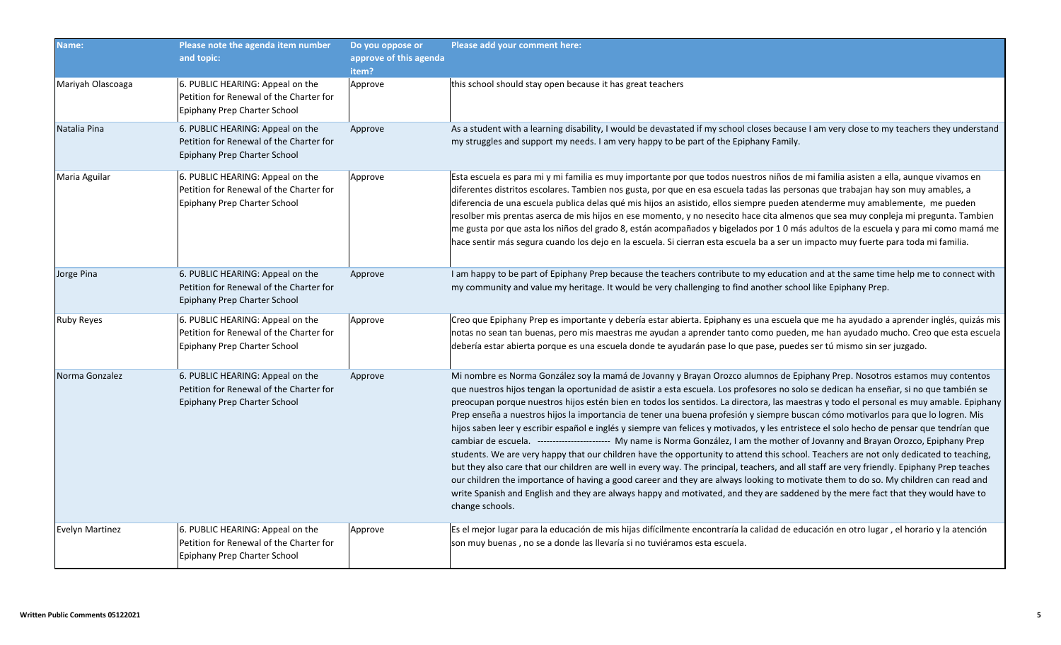| Name:                  | Please note the agenda item number<br>and topic:                                                            | Do you oppose or<br>approve of this agenda<br>item? | Please add your comment here:                                                                                                                                                                                                                                                                                                                                                                                                                                                                                                                                                                                                                                                                                                                                                                                                                                                                                                                                                                                                                                                                                                                                                                                                                                                                                                                                                                                                     |
|------------------------|-------------------------------------------------------------------------------------------------------------|-----------------------------------------------------|-----------------------------------------------------------------------------------------------------------------------------------------------------------------------------------------------------------------------------------------------------------------------------------------------------------------------------------------------------------------------------------------------------------------------------------------------------------------------------------------------------------------------------------------------------------------------------------------------------------------------------------------------------------------------------------------------------------------------------------------------------------------------------------------------------------------------------------------------------------------------------------------------------------------------------------------------------------------------------------------------------------------------------------------------------------------------------------------------------------------------------------------------------------------------------------------------------------------------------------------------------------------------------------------------------------------------------------------------------------------------------------------------------------------------------------|
| Mariyah Olascoaga      | 6. PUBLIC HEARING: Appeal on the<br>Petition for Renewal of the Charter for<br>Epiphany Prep Charter School | Approve                                             | this school should stay open because it has great teachers                                                                                                                                                                                                                                                                                                                                                                                                                                                                                                                                                                                                                                                                                                                                                                                                                                                                                                                                                                                                                                                                                                                                                                                                                                                                                                                                                                        |
| Natalia Pina           | 6. PUBLIC HEARING: Appeal on the<br>Petition for Renewal of the Charter for<br>Epiphany Prep Charter School | Approve                                             | As a student with a learning disability, I would be devastated if my school closes because I am very close to my teachers they understand<br>my struggles and support my needs. I am very happy to be part of the Epiphany Family.                                                                                                                                                                                                                                                                                                                                                                                                                                                                                                                                                                                                                                                                                                                                                                                                                                                                                                                                                                                                                                                                                                                                                                                                |
| Maria Aguilar          | 6. PUBLIC HEARING: Appeal on the<br>Petition for Renewal of the Charter for<br>Epiphany Prep Charter School | Approve                                             | Esta escuela es para mi y mi familia es muy importante por que todos nuestros niños de mi familia asisten a ella, aunque vivamos en<br>diferentes distritos escolares. Tambien nos gusta, por que en esa escuela tadas las personas que trabajan hay son muy amables, a<br>diferencia de una escuela publica delas qué mis hijos an asistido, ellos siempre pueden atenderme muy amablemente, me pueden<br>resolber mis prentas aserca de mis hijos en ese momento, y no nesecito hace cita almenos que sea muy conpleja mi pregunta. Tambien<br>me gusta por que asta los niños del grado 8, están acompañados y bigelados por 10 más adultos de la escuela y para mi como mamá me<br>hace sentir más segura cuando los dejo en la escuela. Si cierran esta escuela ba a ser un impacto muy fuerte para toda mi familia.                                                                                                                                                                                                                                                                                                                                                                                                                                                                                                                                                                                                         |
| Jorge Pina             | 6. PUBLIC HEARING: Appeal on the<br>Petition for Renewal of the Charter for<br>Epiphany Prep Charter School | Approve                                             | I am happy to be part of Epiphany Prep because the teachers contribute to my education and at the same time help me to connect with<br>my community and value my heritage. It would be very challenging to find another school like Epiphany Prep.                                                                                                                                                                                                                                                                                                                                                                                                                                                                                                                                                                                                                                                                                                                                                                                                                                                                                                                                                                                                                                                                                                                                                                                |
| <b>Ruby Reyes</b>      | 6. PUBLIC HEARING: Appeal on the<br>Petition for Renewal of the Charter for<br>Epiphany Prep Charter School | Approve                                             | Creo que Epiphany Prep es importante y debería estar abierta. Epiphany es una escuela que me ha ayudado a aprender inglés, quizás mis<br>notas no sean tan buenas, pero mis maestras me ayudan a aprender tanto como pueden, me han ayudado mucho. Creo que esta escuela<br>debería estar abierta porque es una escuela donde te ayudarán pase lo que pase, puedes ser tú mismo sin ser juzgado.                                                                                                                                                                                                                                                                                                                                                                                                                                                                                                                                                                                                                                                                                                                                                                                                                                                                                                                                                                                                                                  |
| Norma Gonzalez         | 6. PUBLIC HEARING: Appeal on the<br>Petition for Renewal of the Charter for<br>Epiphany Prep Charter School | Approve                                             | Mi nombre es Norma González soy la mamá de Jovanny y Brayan Orozco alumnos de Epiphany Prep. Nosotros estamos muy contentos<br>que nuestros hijos tengan la oportunidad de asistir a esta escuela. Los profesores no solo se dedican ha enseñar, si no que también se<br>preocupan porque nuestros hijos estén bien en todos los sentidos. La directora, las maestras y todo el personal es muy amable. Epiphany<br>Prep enseña a nuestros hijos la importancia de tener una buena profesión y siempre buscan cómo motivarlos para que lo logren. Mis<br>hijos saben leer y escribir español e inglés y siempre van felices y motivados, y les entristece el solo hecho de pensar que tendrían que<br>cambiar de escuela. ------------------------ My name is Norma González, I am the mother of Jovanny and Brayan Orozco, Epiphany Prep<br>students. We are very happy that our children have the opportunity to attend this school. Teachers are not only dedicated to teaching,<br>but they also care that our children are well in every way. The principal, teachers, and all staff are very friendly. Epiphany Prep teaches<br>our children the importance of having a good career and they are always looking to motivate them to do so. My children can read and<br>write Spanish and English and they are always happy and motivated, and they are saddened by the mere fact that they would have to<br>change schools. |
| <b>Evelyn Martinez</b> | 6. PUBLIC HEARING: Appeal on the<br>Petition for Renewal of the Charter for<br>Epiphany Prep Charter School | Approve                                             | Es el mejor lugar para la educación de mis hijas difícilmente encontraría la calidad de educación en otro lugar, el horario y la atención<br>son muy buenas, no se a donde las llevaría si no tuviéramos esta escuela.                                                                                                                                                                                                                                                                                                                                                                                                                                                                                                                                                                                                                                                                                                                                                                                                                                                                                                                                                                                                                                                                                                                                                                                                            |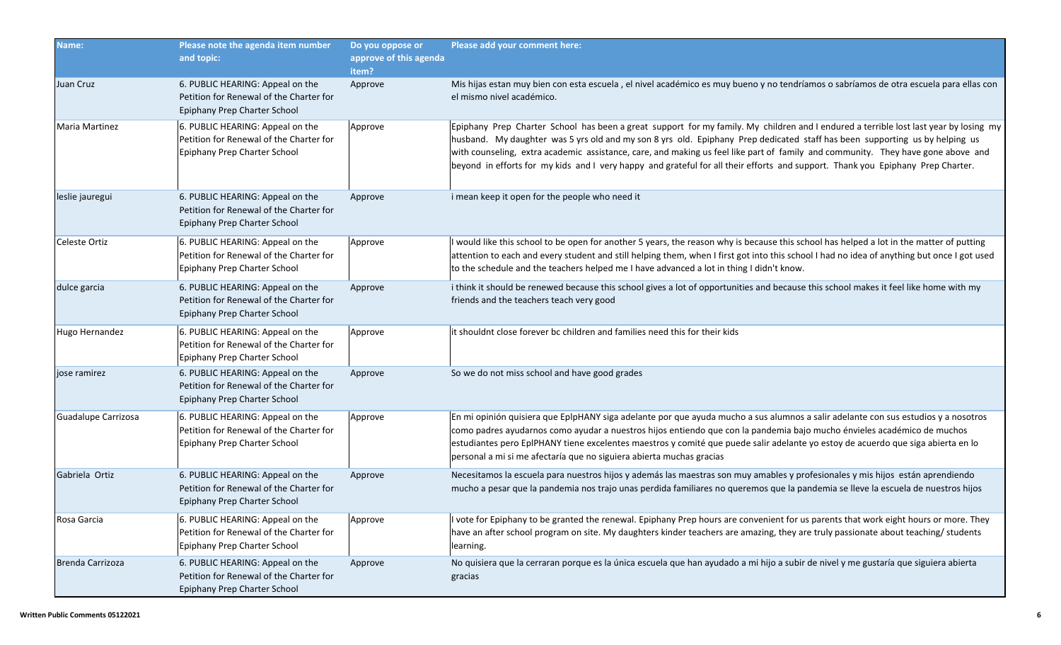| Name:                 | Please note the agenda item number<br>and topic:                                                            | Do you oppose or<br>approve of this agenda<br>item? | Please add your comment here:                                                                                                                                                                                                                                                                                                                                                                                                                                                                                                               |
|-----------------------|-------------------------------------------------------------------------------------------------------------|-----------------------------------------------------|---------------------------------------------------------------------------------------------------------------------------------------------------------------------------------------------------------------------------------------------------------------------------------------------------------------------------------------------------------------------------------------------------------------------------------------------------------------------------------------------------------------------------------------------|
| Juan Cruz             | 6. PUBLIC HEARING: Appeal on the<br>Petition for Renewal of the Charter for<br>Epiphany Prep Charter School | Approve                                             | Mis hijas estan muy bien con esta escuela, el nivel académico es muy bueno y no tendríamos o sabríamos de otra escuela para ellas con<br>el mismo nivel académico.                                                                                                                                                                                                                                                                                                                                                                          |
| <b>Maria Martinez</b> | 6. PUBLIC HEARING: Appeal on the<br>Petition for Renewal of the Charter for<br>Epiphany Prep Charter School | Approve                                             | Epiphany Prep Charter School has been a great support for my family. My children and I endured a terrible lost last year by losing my<br>husband. My daughter was 5 yrs old and my son 8 yrs old. Epiphany Prep dedicated staff has been supporting us by helping us<br>with counseling, extra academic assistance, care, and making us feel like part of family and community. They have gone above and<br>beyond in efforts for my kids and I very happy and grateful for all their efforts and support. Thank you Epiphany Prep Charter. |
| leslie jauregui       | 6. PUBLIC HEARING: Appeal on the<br>Petition for Renewal of the Charter for<br>Epiphany Prep Charter School | Approve                                             | i mean keep it open for the people who need it                                                                                                                                                                                                                                                                                                                                                                                                                                                                                              |
| Celeste Ortiz         | 6. PUBLIC HEARING: Appeal on the<br>Petition for Renewal of the Charter for<br>Epiphany Prep Charter School | Approve                                             | I would like this school to be open for another 5 years, the reason why is because this school has helped a lot in the matter of putting<br>attention to each and every student and still helping them, when I first got into this school I had no idea of anything but once I got used<br>to the schedule and the teachers helped me I have advanced a lot in thing I didn't know.                                                                                                                                                         |
| dulce garcia          | 6. PUBLIC HEARING: Appeal on the<br>Petition for Renewal of the Charter for<br>Epiphany Prep Charter School | Approve                                             | i think it should be renewed because this school gives a lot of opportunities and because this school makes it feel like home with my<br>friends and the teachers teach very good                                                                                                                                                                                                                                                                                                                                                           |
| Hugo Hernandez        | 6. PUBLIC HEARING: Appeal on the<br>Petition for Renewal of the Charter for<br>Epiphany Prep Charter School | Approve                                             | it shouldnt close forever bc children and families need this for their kids                                                                                                                                                                                                                                                                                                                                                                                                                                                                 |
| jose ramirez          | 6. PUBLIC HEARING: Appeal on the<br>Petition for Renewal of the Charter for<br>Epiphany Prep Charter School | Approve                                             | So we do not miss school and have good grades                                                                                                                                                                                                                                                                                                                                                                                                                                                                                               |
| Guadalupe Carrizosa   | 6. PUBLIC HEARING: Appeal on the<br>Petition for Renewal of the Charter for<br>Epiphany Prep Charter School | Approve                                             | En mi opinión quisiera que EplpHANY siga adelante por que ayuda mucho a sus alumnos a salir adelante con sus estudios y a nosotros<br>como padres ayudarnos como ayudar a nuestros hijos entiendo que con la pandemia bajo mucho énvieles académico de muchos<br>estudiantes pero EpIPHANY tiene excelentes maestros y comité que puede salir adelante yo estoy de acuerdo que siga abierta en lo<br>personal a mi si me afectaría que no siguiera abierta muchas gracias                                                                   |
| Gabriela Ortiz        | 6. PUBLIC HEARING: Appeal on the<br>Petition for Renewal of the Charter for<br>Epiphany Prep Charter School | Approve                                             | Necesitamos la escuela para nuestros hijos y además las maestras son muy amables y profesionales y mis hijos están aprendiendo<br>mucho a pesar que la pandemia nos trajo unas perdida familiares no queremos que la pandemia se lleve la escuela de nuestros hijos                                                                                                                                                                                                                                                                         |
| Rosa Garcia           | 6. PUBLIC HEARING: Appeal on the<br>Petition for Renewal of the Charter for<br>Epiphany Prep Charter School | Approve                                             | I vote for Epiphany to be granted the renewal. Epiphany Prep hours are convenient for us parents that work eight hours or more. They<br>have an after school program on site. My daughters kinder teachers are amazing, they are truly passionate about teaching/ students<br>learning.                                                                                                                                                                                                                                                     |
| Brenda Carrizoza      | 6. PUBLIC HEARING: Appeal on the<br>Petition for Renewal of the Charter for<br>Epiphany Prep Charter School | Approve                                             | No quisiera que la cerraran porque es la única escuela que han ayudado a mi hijo a subir de nivel y me gustaría que siguiera abierta<br>gracias                                                                                                                                                                                                                                                                                                                                                                                             |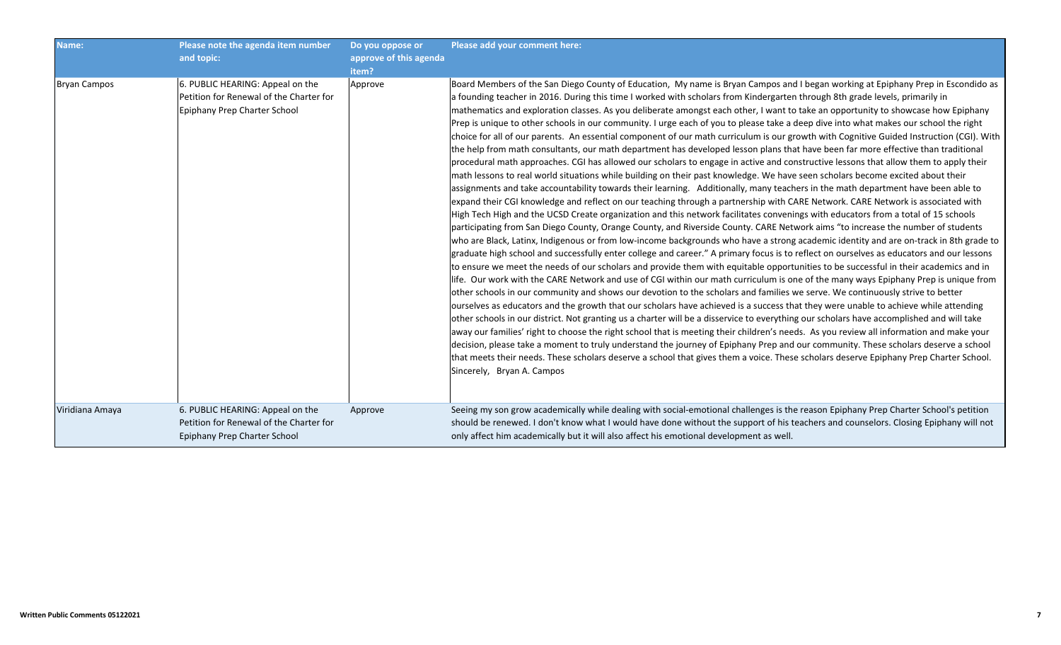| Name:               | Please note the agenda item number<br>and topic:                                                            | Do you oppose or<br>approve of this agenda<br>item? | Please add your comment here:                                                                                                                                                                                                                                                                                                                                                                                                                                                                                                                                                                                                                                                                                                                                                                                                                                                                                                                                                                                                                                                                                                                                                                                                                                                                                                                                                                                                                                                                                                                                                                                                                                                                                                                                                                                                                                                                                                                                                                                                                                                                                                                                                                                                                                                                                                                                                                                                                                                                                                                                                                                                                                                                                                                                                                                                                                                                                                                                                                                                                                                                           |
|---------------------|-------------------------------------------------------------------------------------------------------------|-----------------------------------------------------|---------------------------------------------------------------------------------------------------------------------------------------------------------------------------------------------------------------------------------------------------------------------------------------------------------------------------------------------------------------------------------------------------------------------------------------------------------------------------------------------------------------------------------------------------------------------------------------------------------------------------------------------------------------------------------------------------------------------------------------------------------------------------------------------------------------------------------------------------------------------------------------------------------------------------------------------------------------------------------------------------------------------------------------------------------------------------------------------------------------------------------------------------------------------------------------------------------------------------------------------------------------------------------------------------------------------------------------------------------------------------------------------------------------------------------------------------------------------------------------------------------------------------------------------------------------------------------------------------------------------------------------------------------------------------------------------------------------------------------------------------------------------------------------------------------------------------------------------------------------------------------------------------------------------------------------------------------------------------------------------------------------------------------------------------------------------------------------------------------------------------------------------------------------------------------------------------------------------------------------------------------------------------------------------------------------------------------------------------------------------------------------------------------------------------------------------------------------------------------------------------------------------------------------------------------------------------------------------------------------------------------------------------------------------------------------------------------------------------------------------------------------------------------------------------------------------------------------------------------------------------------------------------------------------------------------------------------------------------------------------------------------------------------------------------------------------------------------------------------|
| <b>Bryan Campos</b> | 6. PUBLIC HEARING: Appeal on the<br>Petition for Renewal of the Charter for<br>Epiphany Prep Charter School | Approve                                             | Board Members of the San Diego County of Education, My name is Bryan Campos and I began working at Epiphany Prep in Escondido as<br>a founding teacher in 2016. During this time I worked with scholars from Kindergarten through 8th grade levels, primarily in<br>mathematics and exploration classes. As you deliberate amongst each other, I want to take an opportunity to showcase how Epiphany<br>Prep is unique to other schools in our community. I urge each of you to please take a deep dive into what makes our school the right<br>choice for all of our parents. An essential component of our math curriculum is our growth with Cognitive Guided Instruction (CGI). With<br>the help from math consultants, our math department has developed lesson plans that have been far more effective than traditional<br>procedural math approaches. CGI has allowed our scholars to engage in active and constructive lessons that allow them to apply their<br>math lessons to real world situations while building on their past knowledge. We have seen scholars become excited about their<br>assignments and take accountability towards their learning. Additionally, many teachers in the math department have been able to<br>expand their CGI knowledge and reflect on our teaching through a partnership with CARE Network. CARE Network is associated with<br>High Tech High and the UCSD Create organization and this network facilitates convenings with educators from a total of 15 schools<br>participating from San Diego County, Orange County, and Riverside County. CARE Network aims "to increase the number of students<br>who are Black, Latinx, Indigenous or from low-income backgrounds who have a strong academic identity and are on-track in 8th grade to<br>graduate high school and successfully enter college and career." A primary focus is to reflect on ourselves as educators and our lessons<br>to ensure we meet the needs of our scholars and provide them with equitable opportunities to be successful in their academics and in<br>life. Our work with the CARE Network and use of CGI within our math curriculum is one of the many ways Epiphany Prep is unique from<br>other schools in our community and shows our devotion to the scholars and families we serve. We continuously strive to better<br>ourselves as educators and the growth that our scholars have achieved is a success that they were unable to achieve while attending<br>other schools in our district. Not granting us a charter will be a disservice to everything our scholars have accomplished and will take<br>away our families' right to choose the right school that is meeting their children's needs. As you review all information and make your<br>decision, please take a moment to truly understand the journey of Epiphany Prep and our community. These scholars deserve a school<br>that meets their needs. These scholars deserve a school that gives them a voice. These scholars deserve Epiphany Prep Charter School.<br>Sincerely, Bryan A. Campos |
| Viridiana Amaya     | 6. PUBLIC HEARING: Appeal on the<br>Petition for Renewal of the Charter for<br>Epiphany Prep Charter School | Approve                                             | Seeing my son grow academically while dealing with social-emotional challenges is the reason Epiphany Prep Charter School's petition<br>should be renewed. I don't know what I would have done without the support of his teachers and counselors. Closing Epiphany will not<br>only affect him academically but it will also affect his emotional development as well.                                                                                                                                                                                                                                                                                                                                                                                                                                                                                                                                                                                                                                                                                                                                                                                                                                                                                                                                                                                                                                                                                                                                                                                                                                                                                                                                                                                                                                                                                                                                                                                                                                                                                                                                                                                                                                                                                                                                                                                                                                                                                                                                                                                                                                                                                                                                                                                                                                                                                                                                                                                                                                                                                                                                 |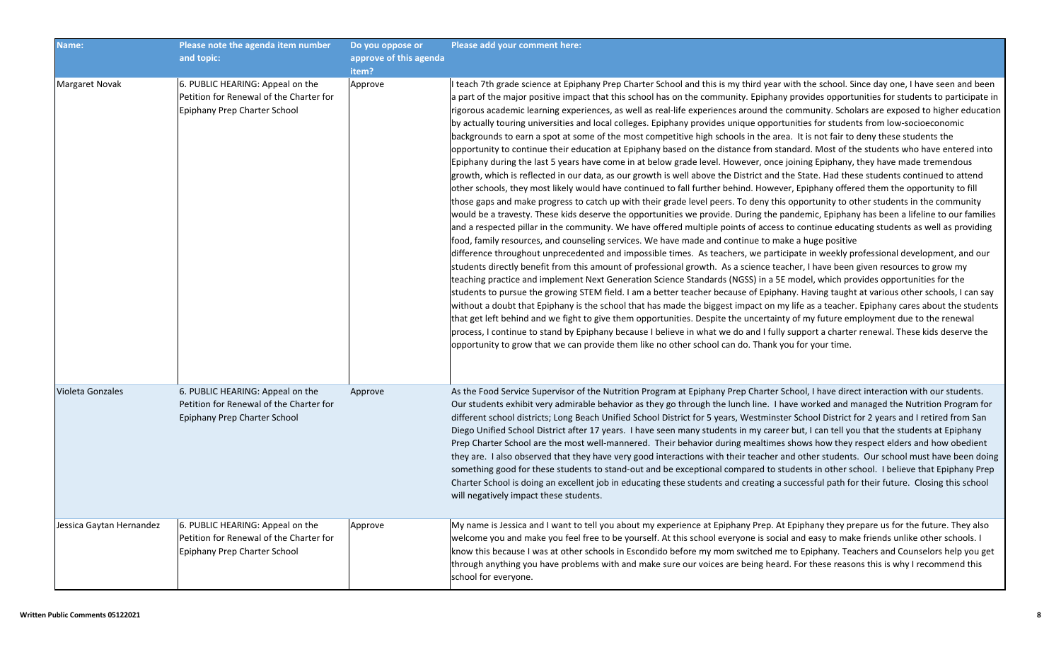| Name:                    | Please note the agenda item number<br>and topic:                                                            | Do you oppose or<br>approve of this agenda<br>item? | Please add your comment here:                                                                                                                                                                                                                                                                                                                                                                                                                                                                                                                                                                                                                                                                                                                                                                                                                                                                                                                                                                                                                                                                                                                                                                                                                                                                                                                                                                                                                                                                                                                                                                                                                                                                                                                                                                                                                                                                                                                                                                                                                                                                                                                                                                                                                                                                                                                                                                                                                                                                                                                                                                                                                                                                                                                                                                                                                                                     |
|--------------------------|-------------------------------------------------------------------------------------------------------------|-----------------------------------------------------|-----------------------------------------------------------------------------------------------------------------------------------------------------------------------------------------------------------------------------------------------------------------------------------------------------------------------------------------------------------------------------------------------------------------------------------------------------------------------------------------------------------------------------------------------------------------------------------------------------------------------------------------------------------------------------------------------------------------------------------------------------------------------------------------------------------------------------------------------------------------------------------------------------------------------------------------------------------------------------------------------------------------------------------------------------------------------------------------------------------------------------------------------------------------------------------------------------------------------------------------------------------------------------------------------------------------------------------------------------------------------------------------------------------------------------------------------------------------------------------------------------------------------------------------------------------------------------------------------------------------------------------------------------------------------------------------------------------------------------------------------------------------------------------------------------------------------------------------------------------------------------------------------------------------------------------------------------------------------------------------------------------------------------------------------------------------------------------------------------------------------------------------------------------------------------------------------------------------------------------------------------------------------------------------------------------------------------------------------------------------------------------------------------------------------------------------------------------------------------------------------------------------------------------------------------------------------------------------------------------------------------------------------------------------------------------------------------------------------------------------------------------------------------------------------------------------------------------------------------------------------------------|
| Margaret Novak           | 6. PUBLIC HEARING: Appeal on the<br>Petition for Renewal of the Charter for<br>Epiphany Prep Charter School | Approve                                             | I teach 7th grade science at Epiphany Prep Charter School and this is my third year with the school. Since day one, I have seen and been<br>a part of the major positive impact that this school has on the community. Epiphany provides opportunities for students to participate in<br>rigorous academic learning experiences, as well as real-life experiences around the community. Scholars are exposed to higher education<br>by actually touring universities and local colleges. Epiphany provides unique opportunities for students from low-socioeconomic<br>backgrounds to earn a spot at some of the most competitive high schools in the area. It is not fair to deny these students the<br>opportunity to continue their education at Epiphany based on the distance from standard. Most of the students who have entered into<br>Epiphany during the last 5 years have come in at below grade level. However, once joining Epiphany, they have made tremendous<br>growth, which is reflected in our data, as our growth is well above the District and the State. Had these students continued to attend<br>other schools, they most likely would have continued to fall further behind. However, Epiphany offered them the opportunity to fill<br>those gaps and make progress to catch up with their grade level peers. To deny this opportunity to other students in the community<br>would be a travesty. These kids deserve the opportunities we provide. During the pandemic, Epiphany has been a lifeline to our families<br>and a respected pillar in the community. We have offered multiple points of access to continue educating students as well as providing<br>food, family resources, and counseling services. We have made and continue to make a huge positive<br>difference throughout unprecedented and impossible times. As teachers, we participate in weekly professional development, and our<br>students directly benefit from this amount of professional growth. As a science teacher, I have been given resources to grow my<br>teaching practice and implement Next Generation Science Standards (NGSS) in a 5E model, which provides opportunities for the<br>students to pursue the growing STEM field. I am a better teacher because of Epiphany. Having taught at various other schools, I can say<br>without a doubt that Epiphany is the school that has made the biggest impact on my life as a teacher. Epiphany cares about the students<br>that get left behind and we fight to give them opportunities. Despite the uncertainty of my future employment due to the renewal<br>process, I continue to stand by Epiphany because I believe in what we do and I fully support a charter renewal. These kids deserve the<br>opportunity to grow that we can provide them like no other school can do. Thank you for your time. |
| Violeta Gonzales         | 6. PUBLIC HEARING: Appeal on the<br>Petition for Renewal of the Charter for<br>Epiphany Prep Charter School | Approve                                             | As the Food Service Supervisor of the Nutrition Program at Epiphany Prep Charter School, I have direct interaction with our students.<br>Our students exhibit very admirable behavior as they go through the lunch line. I have worked and managed the Nutrition Program for<br>different school districts; Long Beach Unified School District for 5 years, Westminster School District for 2 years and I retired from San<br>Diego Unified School District after 17 years. I have seen many students in my career but, I can tell you that the students at Epiphany<br>Prep Charter School are the most well-mannered. Their behavior during mealtimes shows how they respect elders and how obedient<br>they are. I also observed that they have very good interactions with their teacher and other students. Our school must have been doing<br>something good for these students to stand-out and be exceptional compared to students in other school. I believe that Epiphany Prep<br>Charter School is doing an excellent job in educating these students and creating a successful path for their future. Closing this school<br>will negatively impact these students.                                                                                                                                                                                                                                                                                                                                                                                                                                                                                                                                                                                                                                                                                                                                                                                                                                                                                                                                                                                                                                                                                                                                                                                                                                                                                                                                                                                                                                                                                                                                                                                                                                                                                                   |
| Jessica Gaytan Hernandez | 6. PUBLIC HEARING: Appeal on the<br>Petition for Renewal of the Charter for<br>Epiphany Prep Charter School | Approve                                             | My name is Jessica and I want to tell you about my experience at Epiphany Prep. At Epiphany they prepare us for the future. They also<br>welcome you and make you feel free to be yourself. At this school everyone is social and easy to make friends unlike other schools. I<br>know this because I was at other schools in Escondido before my mom switched me to Epiphany. Teachers and Counselors help you get<br>through anything you have problems with and make sure our voices are being heard. For these reasons this is why I recommend this<br>school for everyone.                                                                                                                                                                                                                                                                                                                                                                                                                                                                                                                                                                                                                                                                                                                                                                                                                                                                                                                                                                                                                                                                                                                                                                                                                                                                                                                                                                                                                                                                                                                                                                                                                                                                                                                                                                                                                                                                                                                                                                                                                                                                                                                                                                                                                                                                                                   |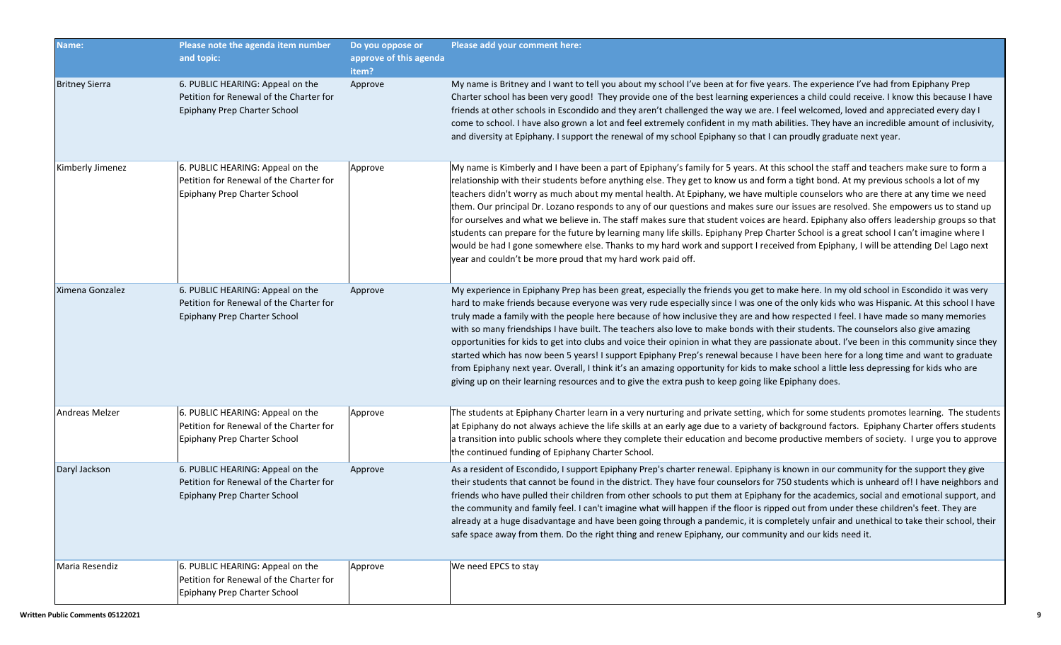| Name:                 | Please note the agenda item number<br>and topic:                                                            | Do you oppose or<br>approve of this agenda<br>item? | Please add your comment here:                                                                                                                                                                                                                                                                                                                                                                                                                                                                                                                                                                                                                                                                                                                                                                                                                                                                                                                                                                                                                                                                    |
|-----------------------|-------------------------------------------------------------------------------------------------------------|-----------------------------------------------------|--------------------------------------------------------------------------------------------------------------------------------------------------------------------------------------------------------------------------------------------------------------------------------------------------------------------------------------------------------------------------------------------------------------------------------------------------------------------------------------------------------------------------------------------------------------------------------------------------------------------------------------------------------------------------------------------------------------------------------------------------------------------------------------------------------------------------------------------------------------------------------------------------------------------------------------------------------------------------------------------------------------------------------------------------------------------------------------------------|
| <b>Britney Sierra</b> | 6. PUBLIC HEARING: Appeal on the<br>Petition for Renewal of the Charter for<br>Epiphany Prep Charter School | Approve                                             | My name is Britney and I want to tell you about my school I've been at for five years. The experience I've had from Epiphany Prep<br>Charter school has been very good! They provide one of the best learning experiences a child could receive. I know this because I have<br>friends at other schools in Escondido and they aren't challenged the way we are. I feel welcomed, loved and appreciated every day I<br>come to school. I have also grown a lot and feel extremely confident in my math abilities. They have an incredible amount of inclusivity,<br>and diversity at Epiphany. I support the renewal of my school Epiphany so that I can proudly graduate next year.                                                                                                                                                                                                                                                                                                                                                                                                              |
| Kimberly Jimenez      | 6. PUBLIC HEARING: Appeal on the<br>Petition for Renewal of the Charter for<br>Epiphany Prep Charter School | Approve                                             | My name is Kimberly and I have been a part of Epiphany's family for 5 years. At this school the staff and teachers make sure to form a<br>relationship with their students before anything else. They get to know us and form a tight bond. At my previous schools a lot of my<br>teachers didn't worry as much about my mental health. At Epiphany, we have multiple counselors who are there at any time we need<br>them. Our principal Dr. Lozano responds to any of our questions and makes sure our issues are resolved. She empowers us to stand up<br>for ourselves and what we believe in. The staff makes sure that student voices are heard. Epiphany also offers leadership groups so that<br>students can prepare for the future by learning many life skills. Epiphany Prep Charter School is a great school I can't imagine where I<br>would be had I gone somewhere else. Thanks to my hard work and support I received from Epiphany, I will be attending Del Lago next<br>year and couldn't be more proud that my hard work paid off.                                           |
| Ximena Gonzalez       | 6. PUBLIC HEARING: Appeal on the<br>Petition for Renewal of the Charter for<br>Epiphany Prep Charter School | Approve                                             | My experience in Epiphany Prep has been great, especially the friends you get to make here. In my old school in Escondido it was very<br>hard to make friends because everyone was very rude especially since I was one of the only kids who was Hispanic. At this school I have<br>truly made a family with the people here because of how inclusive they are and how respected I feel. I have made so many memories<br>with so many friendships I have built. The teachers also love to make bonds with their students. The counselors also give amazing<br>opportunities for kids to get into clubs and voice their opinion in what they are passionate about. I've been in this community since they<br>started which has now been 5 years! I support Epiphany Prep's renewal because I have been here for a long time and want to graduate<br>from Epiphany next year. Overall, I think it's an amazing opportunity for kids to make school a little less depressing for kids who are<br>giving up on their learning resources and to give the extra push to keep going like Epiphany does. |
| <b>Andreas Melzer</b> | 6. PUBLIC HEARING: Appeal on the<br>Petition for Renewal of the Charter for<br>Epiphany Prep Charter School | Approve                                             | The students at Epiphany Charter learn in a very nurturing and private setting, which for some students promotes learning. The students<br>at Epiphany do not always achieve the life skills at an early age due to a variety of background factors. Epiphany Charter offers students<br>a transition into public schools where they complete their education and become productive members of society. I urge you to approve<br>the continued funding of Epiphany Charter School.                                                                                                                                                                                                                                                                                                                                                                                                                                                                                                                                                                                                               |
| Daryl Jackson         | 6. PUBLIC HEARING: Appeal on the<br>Petition for Renewal of the Charter for<br>Epiphany Prep Charter School | Approve                                             | As a resident of Escondido, I support Epiphany Prep's charter renewal. Epiphany is known in our community for the support they give<br>their students that cannot be found in the district. They have four counselors for 750 students which is unheard of! I have neighbors and<br>friends who have pulled their children from other schools to put them at Epiphany for the academics, social and emotional support, and<br>the community and family feel. I can't imagine what will happen if the floor is ripped out from under these children's feet. They are<br>already at a huge disadvantage and have been going through a pandemic, it is completely unfair and unethical to take their school, their<br>safe space away from them. Do the right thing and renew Epiphany, our community and our kids need it.                                                                                                                                                                                                                                                                         |
| Maria Resendiz        | 6. PUBLIC HEARING: Appeal on the<br>Petition for Renewal of the Charter for<br>Epiphany Prep Charter School | Approve                                             | We need EPCS to stay                                                                                                                                                                                                                                                                                                                                                                                                                                                                                                                                                                                                                                                                                                                                                                                                                                                                                                                                                                                                                                                                             |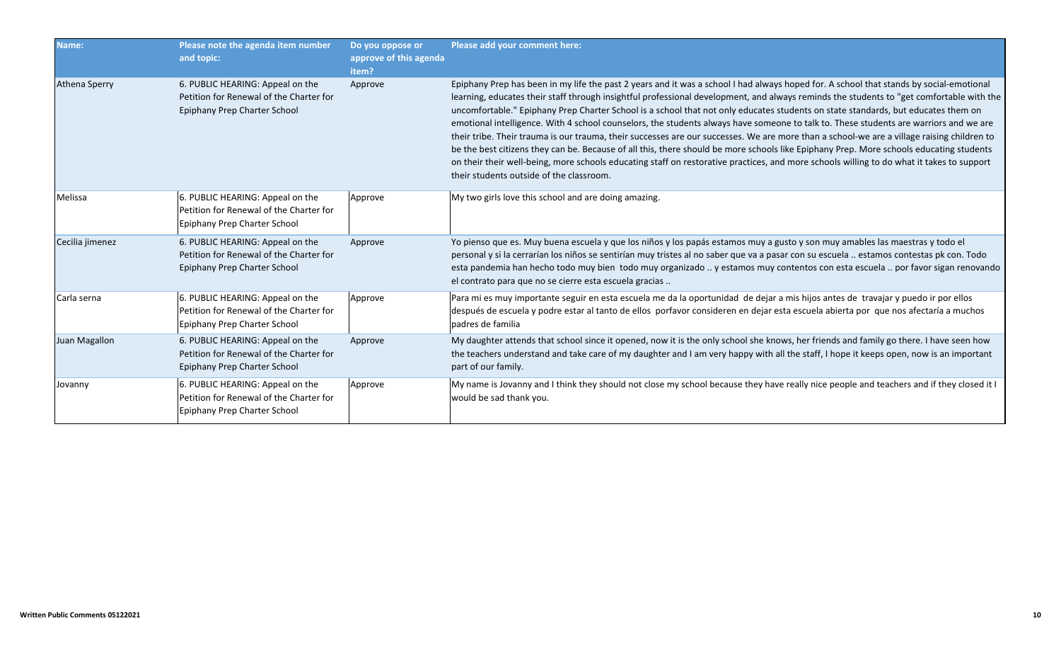| Name:                | Please note the agenda item number<br>and topic:                                                            | Do you oppose or<br>approve of this agenda<br>item? | Please add your comment here:                                                                                                                                                                                                                                                                                                                                                                                                                                                                                                                                                                                                                                                                                                                                                                                                                                                                                                                                                                                                                       |
|----------------------|-------------------------------------------------------------------------------------------------------------|-----------------------------------------------------|-----------------------------------------------------------------------------------------------------------------------------------------------------------------------------------------------------------------------------------------------------------------------------------------------------------------------------------------------------------------------------------------------------------------------------------------------------------------------------------------------------------------------------------------------------------------------------------------------------------------------------------------------------------------------------------------------------------------------------------------------------------------------------------------------------------------------------------------------------------------------------------------------------------------------------------------------------------------------------------------------------------------------------------------------------|
| <b>Athena Sperry</b> | 6. PUBLIC HEARING: Appeal on the<br>Petition for Renewal of the Charter for<br>Epiphany Prep Charter School | Approve                                             | Epiphany Prep has been in my life the past 2 years and it was a school I had always hoped for. A school that stands by social-emotional<br>learning, educates their staff through insightful professional development, and always reminds the students to "get comfortable with the<br>uncomfortable." Epiphany Prep Charter School is a school that not only educates students on state standards, but educates them on<br>emotional intelligence. With 4 school counselors, the students always have someone to talk to. These students are warriors and we are<br>their tribe. Their trauma is our trauma, their successes are our successes. We are more than a school-we are a village raising children to<br>be the best citizens they can be. Because of all this, there should be more schools like Epiphany Prep. More schools educating students<br>on their their well-being, more schools educating staff on restorative practices, and more schools willing to do what it takes to support<br>their students outside of the classroom. |
| Melissa              | 6. PUBLIC HEARING: Appeal on the<br>Petition for Renewal of the Charter for<br>Epiphany Prep Charter School | Approve                                             | My two girls love this school and are doing amazing.                                                                                                                                                                                                                                                                                                                                                                                                                                                                                                                                                                                                                                                                                                                                                                                                                                                                                                                                                                                                |
| Cecilia jimenez      | 6. PUBLIC HEARING: Appeal on the<br>Petition for Renewal of the Charter for<br>Epiphany Prep Charter School | Approve                                             | Yo pienso que es. Muy buena escuela y que los niños y los papás estamos muy a gusto y son muy amables las maestras y todo el<br>personal y si la cerrarían los niños se sentirían muy tristes al no saber que va a pasar con su escuela  estamos contestas pk con. Todo<br>esta pandemia han hecho todo muy bien todo muy organizado  y estamos muy contentos con esta escuela  por favor sigan renovando<br>el contrato para que no se cierre esta escuela gracias                                                                                                                                                                                                                                                                                                                                                                                                                                                                                                                                                                                 |
| Carla serna          | 6. PUBLIC HEARING: Appeal on the<br>Petition for Renewal of the Charter for<br>Epiphany Prep Charter School | Approve                                             | Para mi es muy importante seguir en esta escuela me da la oportunidad de dejar a mis hijos antes de travajar y puedo ir por ellos<br>después de escuela y podre estar al tanto de ellos porfavor consideren en dejar esta escuela abierta por que nos afectaría a muchos<br>padres de familia                                                                                                                                                                                                                                                                                                                                                                                                                                                                                                                                                                                                                                                                                                                                                       |
| Juan Magallon        | 6. PUBLIC HEARING: Appeal on the<br>Petition for Renewal of the Charter for<br>Epiphany Prep Charter School | Approve                                             | My daughter attends that school since it opened, now it is the only school she knows, her friends and family go there. I have seen how<br>the teachers understand and take care of my daughter and I am very happy with all the staff, I hope it keeps open, now is an important<br>part of our family.                                                                                                                                                                                                                                                                                                                                                                                                                                                                                                                                                                                                                                                                                                                                             |
| Jovanny              | 6. PUBLIC HEARING: Appeal on the<br>Petition for Renewal of the Charter for<br>Epiphany Prep Charter School | Approve                                             | My name is Jovanny and I think they should not close my school because they have really nice people and teachers and if they closed it I<br>would be sad thank you.                                                                                                                                                                                                                                                                                                                                                                                                                                                                                                                                                                                                                                                                                                                                                                                                                                                                                 |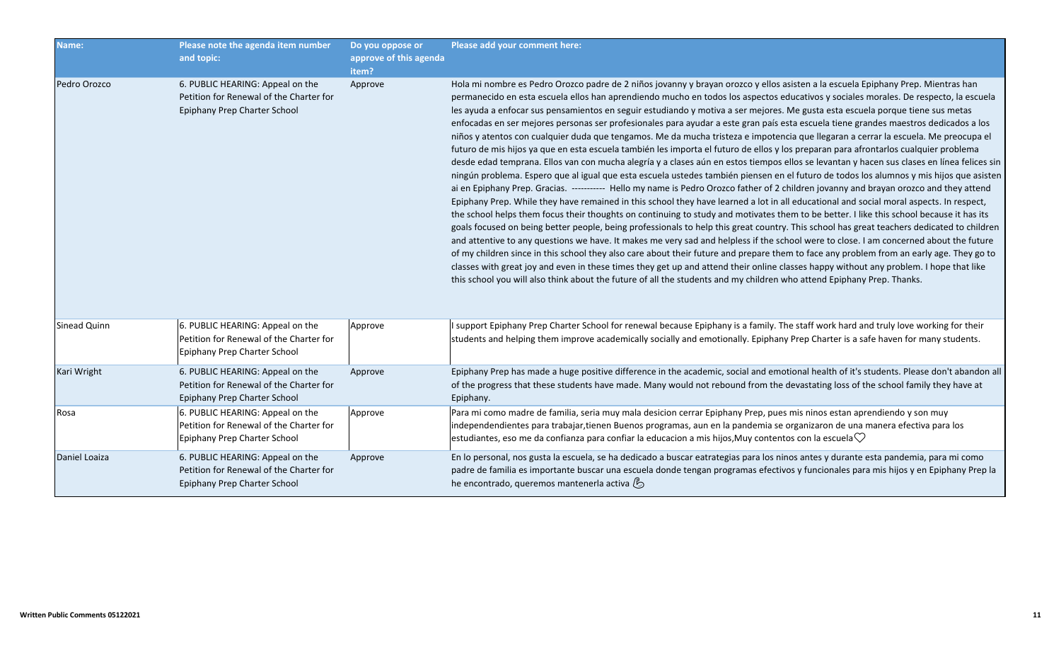| Name:         | Please note the agenda item number<br>and topic:                                                            | Do you oppose or<br>approve of this agenda<br>item? | Please add your comment here:                                                                                                                                                                                                                                                                                                                                                                                                                                                                                                                                                                                                                                                                                                                                                                                                                                                                                                                                                                                                                                                                                                                                                                                                                                                                                                                                                                                                                                                                                                                                                                                                                                                                                                                                                                                                                                                                                                                                                                                                                                                                                                                                                                                                                                       |
|---------------|-------------------------------------------------------------------------------------------------------------|-----------------------------------------------------|---------------------------------------------------------------------------------------------------------------------------------------------------------------------------------------------------------------------------------------------------------------------------------------------------------------------------------------------------------------------------------------------------------------------------------------------------------------------------------------------------------------------------------------------------------------------------------------------------------------------------------------------------------------------------------------------------------------------------------------------------------------------------------------------------------------------------------------------------------------------------------------------------------------------------------------------------------------------------------------------------------------------------------------------------------------------------------------------------------------------------------------------------------------------------------------------------------------------------------------------------------------------------------------------------------------------------------------------------------------------------------------------------------------------------------------------------------------------------------------------------------------------------------------------------------------------------------------------------------------------------------------------------------------------------------------------------------------------------------------------------------------------------------------------------------------------------------------------------------------------------------------------------------------------------------------------------------------------------------------------------------------------------------------------------------------------------------------------------------------------------------------------------------------------------------------------------------------------------------------------------------------------|
| Pedro Orozco  | 6. PUBLIC HEARING: Appeal on the<br>Petition for Renewal of the Charter for<br>Epiphany Prep Charter School | Approve                                             | Hola mi nombre es Pedro Orozco padre de 2 niños jovanny y brayan orozco y ellos asisten a la escuela Epiphany Prep. Mientras han<br>permanecido en esta escuela ellos han aprendiendo mucho en todos los aspectos educativos y sociales morales. De respecto, la escuela<br>les ayuda a enfocar sus pensamientos en seguir estudiando y motiva a ser mejores. Me gusta esta escuela porque tiene sus metas<br>enfocadas en ser mejores personas ser profesionales para ayudar a este gran país esta escuela tiene grandes maestros dedicados a los<br>niños y atentos con cualquier duda que tengamos. Me da mucha tristeza e impotencia que llegaran a cerrar la escuela. Me preocupa el<br>futuro de mis hijos ya que en esta escuela también les importa el futuro de ellos y los preparan para afrontarlos cualquier problema<br>desde edad temprana. Ellos van con mucha alegría y a clases aún en estos tiempos ellos se levantan y hacen sus clases en línea felices sin<br>ningún problema. Espero que al igual que esta escuela ustedes también piensen en el futuro de todos los alumnos y mis hijos que asisten<br>ai en Epiphany Prep. Gracias. ----------- Hello my name is Pedro Orozco father of 2 children jovanny and brayan orozco and they attend<br>Epiphany Prep. While they have remained in this school they have learned a lot in all educational and social moral aspects. In respect,<br>the school helps them focus their thoughts on continuing to study and motivates them to be better. I like this school because it has its<br>goals focused on being better people, being professionals to help this great country. This school has great teachers dedicated to children<br>and attentive to any questions we have. It makes me very sad and helpless if the school were to close. I am concerned about the future<br>of my children since in this school they also care about their future and prepare them to face any problem from an early age. They go to<br>classes with great joy and even in these times they get up and attend their online classes happy without any problem. I hope that like<br>this school you will also think about the future of all the students and my children who attend Epiphany Prep. Thanks. |
| Sinead Quinn  | 6. PUBLIC HEARING: Appeal on the<br>Petition for Renewal of the Charter for<br>Epiphany Prep Charter School | Approve                                             | I support Epiphany Prep Charter School for renewal because Epiphany is a family. The staff work hard and truly love working for their<br>students and helping them improve academically socially and emotionally. Epiphany Prep Charter is a safe haven for many students.                                                                                                                                                                                                                                                                                                                                                                                                                                                                                                                                                                                                                                                                                                                                                                                                                                                                                                                                                                                                                                                                                                                                                                                                                                                                                                                                                                                                                                                                                                                                                                                                                                                                                                                                                                                                                                                                                                                                                                                          |
| Kari Wright   | 6. PUBLIC HEARING: Appeal on the<br>Petition for Renewal of the Charter for<br>Epiphany Prep Charter School | Approve                                             | Epiphany Prep has made a huge positive difference in the academic, social and emotional health of it's students. Please don't abandon all<br>of the progress that these students have made. Many would not rebound from the devastating loss of the school family they have at<br>Epiphany.                                                                                                                                                                                                                                                                                                                                                                                                                                                                                                                                                                                                                                                                                                                                                                                                                                                                                                                                                                                                                                                                                                                                                                                                                                                                                                                                                                                                                                                                                                                                                                                                                                                                                                                                                                                                                                                                                                                                                                         |
| Rosa          | 6. PUBLIC HEARING: Appeal on the<br>Petition for Renewal of the Charter for<br>Epiphany Prep Charter School | Approve                                             | Para mi como madre de familia, seria muy mala desicion cerrar Epiphany Prep, pues mis ninos estan aprendiendo y son muy<br>independendientes para trabajar, tienen Buenos programas, aun en la pandemia se organizaron de una manera efectiva para los<br>estudiantes, eso me da confianza para confiar la educacion a mis hijos, Muy contentos con la escuela $\heartsuit$                                                                                                                                                                                                                                                                                                                                                                                                                                                                                                                                                                                                                                                                                                                                                                                                                                                                                                                                                                                                                                                                                                                                                                                                                                                                                                                                                                                                                                                                                                                                                                                                                                                                                                                                                                                                                                                                                         |
| Daniel Loaiza | 6. PUBLIC HEARING: Appeal on the<br>Petition for Renewal of the Charter for<br>Epiphany Prep Charter School | Approve                                             | En lo personal, nos gusta la escuela, se ha dedicado a buscar eatrategias para los ninos antes y durante esta pandemia, para mi como<br>padre de familia es importante buscar una escuela donde tengan programas efectivos y funcionales para mis hijos y en Epiphany Prep la<br>he encontrado, queremos mantenerla activa (b                                                                                                                                                                                                                                                                                                                                                                                                                                                                                                                                                                                                                                                                                                                                                                                                                                                                                                                                                                                                                                                                                                                                                                                                                                                                                                                                                                                                                                                                                                                                                                                                                                                                                                                                                                                                                                                                                                                                       |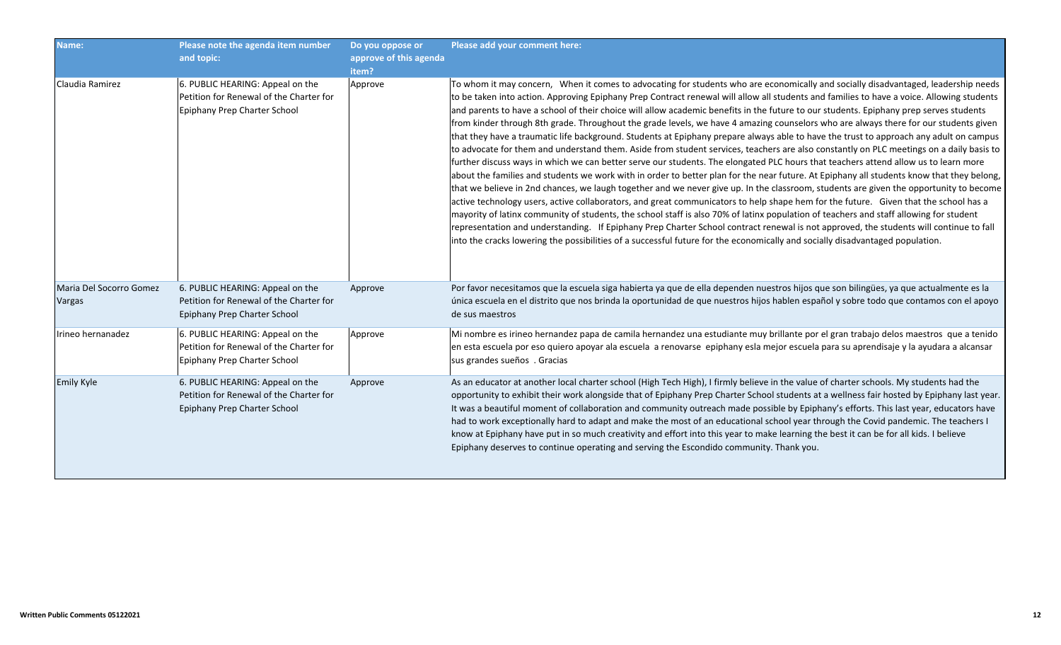| Name:                             | Please note the agenda item number<br>and topic:                                                            | Do you oppose or<br>approve of this agenda<br>item? | Please add your comment here:                                                                                                                                                                                                                                                                                                                                                                                                                                                                                                                                                                                                                                                                                                                                                                                                                                                                                                                                                                                                                                                                                                                                                                                                                                                                                                                                                                                                                                                                                                                                                                                                                                                                                                                                                                                                                     |
|-----------------------------------|-------------------------------------------------------------------------------------------------------------|-----------------------------------------------------|---------------------------------------------------------------------------------------------------------------------------------------------------------------------------------------------------------------------------------------------------------------------------------------------------------------------------------------------------------------------------------------------------------------------------------------------------------------------------------------------------------------------------------------------------------------------------------------------------------------------------------------------------------------------------------------------------------------------------------------------------------------------------------------------------------------------------------------------------------------------------------------------------------------------------------------------------------------------------------------------------------------------------------------------------------------------------------------------------------------------------------------------------------------------------------------------------------------------------------------------------------------------------------------------------------------------------------------------------------------------------------------------------------------------------------------------------------------------------------------------------------------------------------------------------------------------------------------------------------------------------------------------------------------------------------------------------------------------------------------------------------------------------------------------------------------------------------------------------|
| Claudia Ramirez                   | 6. PUBLIC HEARING: Appeal on the<br>Petition for Renewal of the Charter for<br>Epiphany Prep Charter School | Approve                                             | To whom it may concern, When it comes to advocating for students who are economically and socially disadvantaged, leadership needs<br>to be taken into action. Approving Epiphany Prep Contract renewal will allow all students and families to have a voice. Allowing students<br>and parents to have a school of their choice will allow academic benefits in the future to our students. Epiphany prep serves students<br>from kinder through 8th grade. Throughout the grade levels, we have 4 amazing counselors who are always there for our students given<br>that they have a traumatic life background. Students at Epiphany prepare always able to have the trust to approach any adult on campus<br>to advocate for them and understand them. Aside from student services, teachers are also constantly on PLC meetings on a daily basis to<br>further discuss ways in which we can better serve our students. The elongated PLC hours that teachers attend allow us to learn more<br>about the families and students we work with in order to better plan for the near future. At Epiphany all students know that they belong,<br>that we believe in 2nd chances, we laugh together and we never give up. In the classroom, students are given the opportunity to become<br>active technology users, active collaborators, and great communicators to help shape hem for the future. Given that the school has a<br>mayority of latinx community of students, the school staff is also 70% of latinx population of teachers and staff allowing for student<br>representation and understanding. If Epiphany Prep Charter School contract renewal is not approved, the students will continue to fall<br>into the cracks lowering the possibilities of a successful future for the economically and socially disadvantaged population. |
| Maria Del Socorro Gomez<br>Vargas | 6. PUBLIC HEARING: Appeal on the<br>Petition for Renewal of the Charter for<br>Epiphany Prep Charter School | Approve                                             | Por favor necesitamos que la escuela siga habierta ya que de ella dependen nuestros hijos que son bilingües, ya que actualmente es la<br>única escuela en el distrito que nos brinda la oportunidad de que nuestros hijos hablen español y sobre todo que contamos con el apoyo<br>de sus maestros                                                                                                                                                                                                                                                                                                                                                                                                                                                                                                                                                                                                                                                                                                                                                                                                                                                                                                                                                                                                                                                                                                                                                                                                                                                                                                                                                                                                                                                                                                                                                |
| Irineo hernanadez                 | 6. PUBLIC HEARING: Appeal on the<br>Petition for Renewal of the Charter for<br>Epiphany Prep Charter School | Approve                                             | Mi nombre es irineo hernandez papa de camila hernandez una estudiante muy brillante por el gran trabajo delos maestros que a tenido<br>en esta escuela por eso quiero apoyar ala escuela a renovarse epiphany esla mejor escuela para su aprendisaje y la ayudara a alcansar<br>sus grandes sueños . Gracias                                                                                                                                                                                                                                                                                                                                                                                                                                                                                                                                                                                                                                                                                                                                                                                                                                                                                                                                                                                                                                                                                                                                                                                                                                                                                                                                                                                                                                                                                                                                      |
| Emily Kyle                        | 6. PUBLIC HEARING: Appeal on the<br>Petition for Renewal of the Charter for<br>Epiphany Prep Charter School | Approve                                             | As an educator at another local charter school (High Tech High), I firmly believe in the value of charter schools. My students had the<br>opportunity to exhibit their work alongside that of Epiphany Prep Charter School students at a wellness fair hosted by Epiphany last year.<br>It was a beautiful moment of collaboration and community outreach made possible by Epiphany's efforts. This last year, educators have<br>had to work exceptionally hard to adapt and make the most of an educational school year through the Covid pandemic. The teachers I<br>know at Epiphany have put in so much creativity and effort into this year to make learning the best it can be for all kids. I believe<br>Epiphany deserves to continue operating and serving the Escondido community. Thank you.                                                                                                                                                                                                                                                                                                                                                                                                                                                                                                                                                                                                                                                                                                                                                                                                                                                                                                                                                                                                                                           |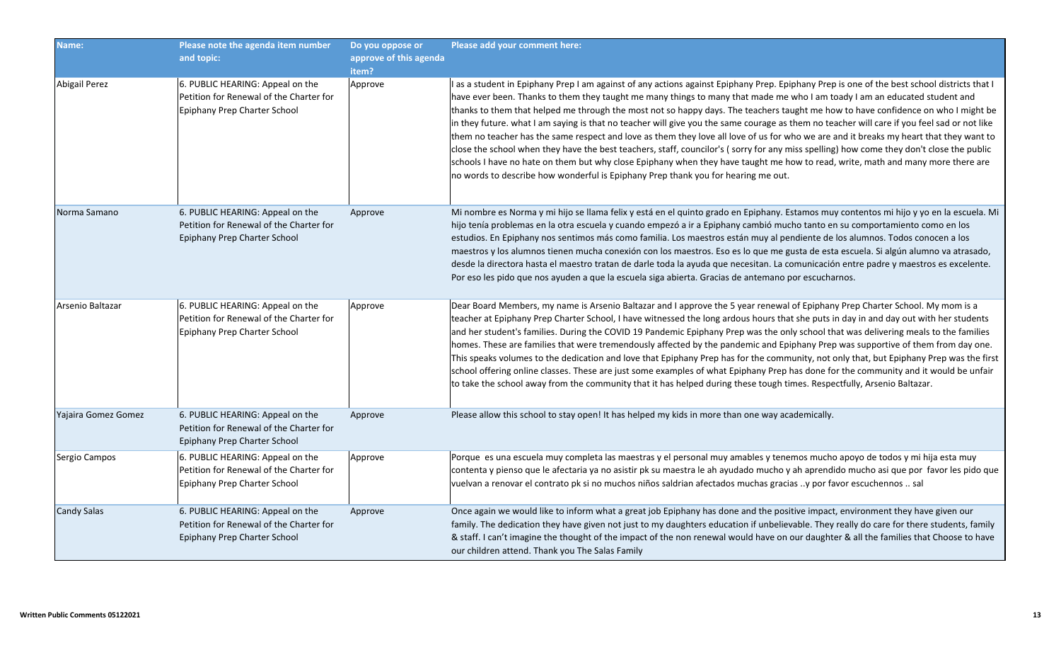| Name:                | Please note the agenda item number<br>and topic:                                                            | Do you oppose or<br>approve of this agenda<br>item? | Please add your comment here:                                                                                                                                                                                                                                                                                                                                                                                                                                                                                                                                                                                                                                                                                                                                                                                                                                                                                                                                                                                                                                               |
|----------------------|-------------------------------------------------------------------------------------------------------------|-----------------------------------------------------|-----------------------------------------------------------------------------------------------------------------------------------------------------------------------------------------------------------------------------------------------------------------------------------------------------------------------------------------------------------------------------------------------------------------------------------------------------------------------------------------------------------------------------------------------------------------------------------------------------------------------------------------------------------------------------------------------------------------------------------------------------------------------------------------------------------------------------------------------------------------------------------------------------------------------------------------------------------------------------------------------------------------------------------------------------------------------------|
| <b>Abigail Perez</b> | 6. PUBLIC HEARING: Appeal on the<br>Petition for Renewal of the Charter for<br>Epiphany Prep Charter School | Approve                                             | I as a student in Epiphany Prep I am against of any actions against Epiphany Prep. Epiphany Prep is one of the best school districts that I<br>have ever been. Thanks to them they taught me many things to many that made me who I am toady I am an educated student and<br>thanks to them that helped me through the most not so happy days. The teachers taught me how to have confidence on who I might be<br>in they future. what I am saying is that no teacher will give you the same courage as them no teacher will care if you feel sad or not like<br>them no teacher has the same respect and love as them they love all love of us for who we are and it breaks my heart that they want to<br>close the school when they have the best teachers, staff, councilor's (sorry for any miss spelling) how come they don't close the public<br>schools I have no hate on them but why close Epiphany when they have taught me how to read, write, math and many more there are<br>no words to describe how wonderful is Epiphany Prep thank you for hearing me out. |
| Norma Samano         | 6. PUBLIC HEARING: Appeal on the<br>Petition for Renewal of the Charter for<br>Epiphany Prep Charter School | Approve                                             | Mi nombre es Norma y mi hijo se llama felix y está en el quinto grado en Epiphany. Estamos muy contentos mi hijo y yo en la escuela. Mi<br>hijo tenía problemas en la otra escuela y cuando empezó a ir a Epiphany cambió mucho tanto en su comportamiento como en los<br>estudios. En Epiphany nos sentimos más como familia. Los maestros están muy al pendiente de los alumnos. Todos conocen a los<br>maestros y los alumnos tienen mucha conexión con los maestros. Eso es lo que me gusta de esta escuela. Si algún alumno va atrasado,<br>desde la directora hasta el maestro tratan de darle toda la ayuda que necesitan. La comunicación entre padre y maestros es excelente.<br>Por eso les pido que nos ayuden a que la escuela siga abierta. Gracias de antemano por escucharnos.                                                                                                                                                                                                                                                                               |
| Arsenio Baltazar     | 6. PUBLIC HEARING: Appeal on the<br>Petition for Renewal of the Charter for<br>Epiphany Prep Charter School | Approve                                             | Dear Board Members, my name is Arsenio Baltazar and I approve the 5 year renewal of Epiphany Prep Charter School. My mom is a<br>teacher at Epiphany Prep Charter School, I have witnessed the long ardous hours that she puts in day in and day out with her students<br>and her student's families. During the COVID 19 Pandemic Epiphany Prep was the only school that was delivering meals to the families<br>homes. These are families that were tremendously affected by the pandemic and Epiphany Prep was supportive of them from day one.<br>This speaks volumes to the dedication and love that Epiphany Prep has for the community, not only that, but Epiphany Prep was the first<br>school offering online classes. These are just some examples of what Epiphany Prep has done for the community and it would be unfair<br>to take the school away from the community that it has helped during these tough times. Respectfully, Arsenio Baltazar.                                                                                                            |
| Yajaira Gomez Gomez  | 6. PUBLIC HEARING: Appeal on the<br>Petition for Renewal of the Charter for<br>Epiphany Prep Charter School | Approve                                             | Please allow this school to stay open! It has helped my kids in more than one way academically.                                                                                                                                                                                                                                                                                                                                                                                                                                                                                                                                                                                                                                                                                                                                                                                                                                                                                                                                                                             |
| Sergio Campos        | 6. PUBLIC HEARING: Appeal on the<br>Petition for Renewal of the Charter for<br>Epiphany Prep Charter School | Approve                                             | Porque es una escuela muy completa las maestras y el personal muy amables y tenemos mucho apoyo de todos y mi hija esta muy<br>contenta y pienso que le afectaria ya no asistir pk su maestra le ah ayudado mucho y ah aprendido mucho asi que por favor les pido que<br>vuelvan a renovar el contrato pk si no muchos niños saldrian afectados muchas gracias y por favor escuchennos  sal                                                                                                                                                                                                                                                                                                                                                                                                                                                                                                                                                                                                                                                                                 |
| Candy Salas          | 6. PUBLIC HEARING: Appeal on the<br>Petition for Renewal of the Charter for<br>Epiphany Prep Charter School | Approve                                             | Once again we would like to inform what a great job Epiphany has done and the positive impact, environment they have given our<br>family. The dedication they have given not just to my daughters education if unbelievable. They really do care for there students, family<br>& staff. I can't imagine the thought of the impact of the non renewal would have on our daughter & all the families that Choose to have<br>our children attend. Thank you The Salas Family                                                                                                                                                                                                                                                                                                                                                                                                                                                                                                                                                                                                   |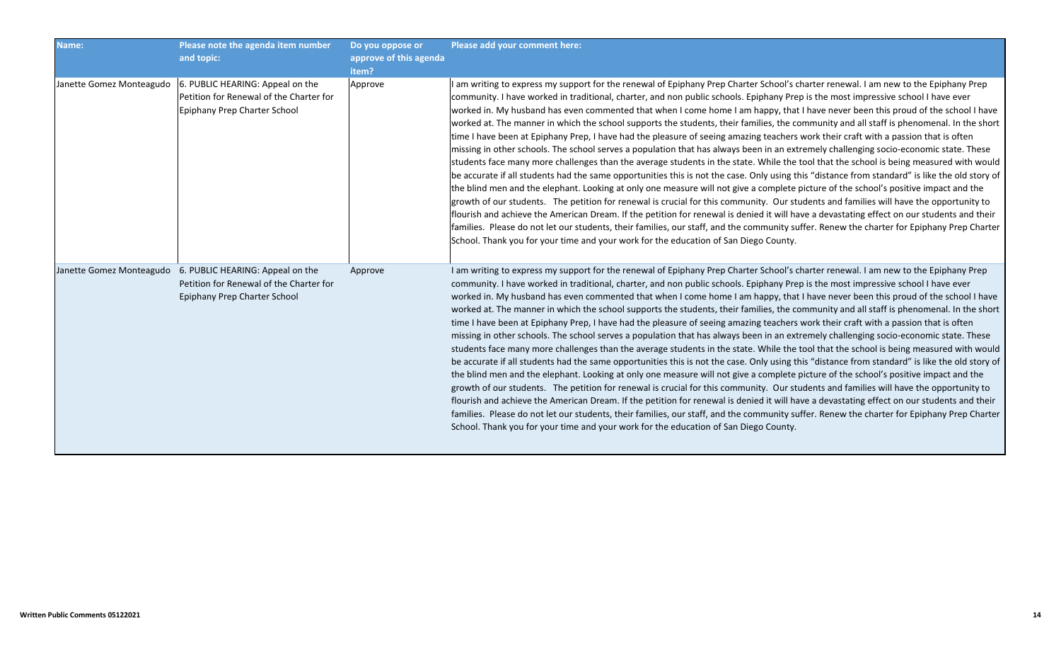| Name:                    | Please note the agenda item number<br>and topic:                                                                                     | Do you oppose or<br>approve of this agenda<br>item? | Please add your comment here:                                                                                                                                                                                                                                                                                                                                                                                                                                                                                                                                                                                                                                                                                                                                                                                                                                                                                                                                                                                                                                                                                                                                                                                                                                                                                                                                                                                                                                                                                                                                                                                                                                                                                                                                                                               |
|--------------------------|--------------------------------------------------------------------------------------------------------------------------------------|-----------------------------------------------------|-------------------------------------------------------------------------------------------------------------------------------------------------------------------------------------------------------------------------------------------------------------------------------------------------------------------------------------------------------------------------------------------------------------------------------------------------------------------------------------------------------------------------------------------------------------------------------------------------------------------------------------------------------------------------------------------------------------------------------------------------------------------------------------------------------------------------------------------------------------------------------------------------------------------------------------------------------------------------------------------------------------------------------------------------------------------------------------------------------------------------------------------------------------------------------------------------------------------------------------------------------------------------------------------------------------------------------------------------------------------------------------------------------------------------------------------------------------------------------------------------------------------------------------------------------------------------------------------------------------------------------------------------------------------------------------------------------------------------------------------------------------------------------------------------------------|
| Janette Gomez Monteagudo | 6. PUBLIC HEARING: Appeal on the<br>Petition for Renewal of the Charter for<br>Epiphany Prep Charter School                          | Approve                                             | I am writing to express my support for the renewal of Epiphany Prep Charter School's charter renewal. I am new to the Epiphany Prep<br>community. I have worked in traditional, charter, and non public schools. Epiphany Prep is the most impressive school I have ever<br>worked in. My husband has even commented that when I come home I am happy, that I have never been this proud of the school I have<br>worked at. The manner in which the school supports the students, their families, the community and all staff is phenomenal. In the short<br>time I have been at Epiphany Prep, I have had the pleasure of seeing amazing teachers work their craft with a passion that is often<br>missing in other schools. The school serves a population that has always been in an extremely challenging socio-economic state. These<br>students face many more challenges than the average students in the state. While the tool that the school is being measured with would<br>be accurate if all students had the same opportunities this is not the case. Only using this "distance from standard" is like the old story of<br>the blind men and the elephant. Looking at only one measure will not give a complete picture of the school's positive impact and the<br>growth of our students. The petition for renewal is crucial for this community. Our students and families will have the opportunity to<br>flourish and achieve the American Dream. If the petition for renewal is denied it will have a devastating effect on our students and their<br>families. Please do not let our students, their families, our staff, and the community suffer. Renew the charter for Epiphany Prep Charter<br>School. Thank you for your time and your work for the education of San Diego County. |
|                          | Janette Gomez Monteagudo 6. PUBLIC HEARING: Appeal on the<br>Petition for Renewal of the Charter for<br>Epiphany Prep Charter School | Approve                                             | I am writing to express my support for the renewal of Epiphany Prep Charter School's charter renewal. I am new to the Epiphany Prep<br>community. I have worked in traditional, charter, and non public schools. Epiphany Prep is the most impressive school I have ever<br>worked in. My husband has even commented that when I come home I am happy, that I have never been this proud of the school I have<br>worked at. The manner in which the school supports the students, their families, the community and all staff is phenomenal. In the short<br>time I have been at Epiphany Prep, I have had the pleasure of seeing amazing teachers work their craft with a passion that is often<br>missing in other schools. The school serves a population that has always been in an extremely challenging socio-economic state. These<br>students face many more challenges than the average students in the state. While the tool that the school is being measured with would<br>be accurate if all students had the same opportunities this is not the case. Only using this "distance from standard" is like the old story of<br>the blind men and the elephant. Looking at only one measure will not give a complete picture of the school's positive impact and the<br>growth of our students. The petition for renewal is crucial for this community. Our students and families will have the opportunity to<br>flourish and achieve the American Dream. If the petition for renewal is denied it will have a devastating effect on our students and their<br>families. Please do not let our students, their families, our staff, and the community suffer. Renew the charter for Epiphany Prep Charter<br>School. Thank you for your time and your work for the education of San Diego County. |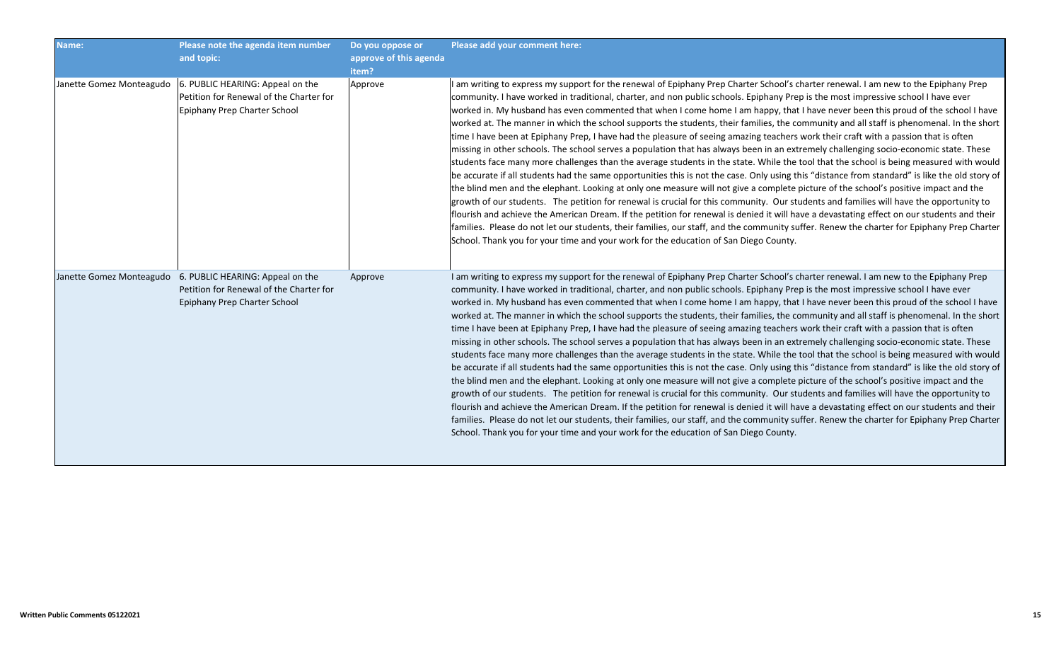| Name:                    | Please note the agenda item number<br>and topic:                                                                                     | Do you oppose or<br>approve of this agenda<br>item? | Please add your comment here:                                                                                                                                                                                                                                                                                                                                                                                                                                                                                                                                                                                                                                                                                                                                                                                                                                                                                                                                                                                                                                                                                                                                                                                                                                                                                                                                                                                                                                                                                                                                                                                                                                                                                                                                                                               |
|--------------------------|--------------------------------------------------------------------------------------------------------------------------------------|-----------------------------------------------------|-------------------------------------------------------------------------------------------------------------------------------------------------------------------------------------------------------------------------------------------------------------------------------------------------------------------------------------------------------------------------------------------------------------------------------------------------------------------------------------------------------------------------------------------------------------------------------------------------------------------------------------------------------------------------------------------------------------------------------------------------------------------------------------------------------------------------------------------------------------------------------------------------------------------------------------------------------------------------------------------------------------------------------------------------------------------------------------------------------------------------------------------------------------------------------------------------------------------------------------------------------------------------------------------------------------------------------------------------------------------------------------------------------------------------------------------------------------------------------------------------------------------------------------------------------------------------------------------------------------------------------------------------------------------------------------------------------------------------------------------------------------------------------------------------------------|
| Janette Gomez Monteagudo | 6. PUBLIC HEARING: Appeal on the<br>Petition for Renewal of the Charter for<br>Epiphany Prep Charter School                          | Approve                                             | I am writing to express my support for the renewal of Epiphany Prep Charter School's charter renewal. I am new to the Epiphany Prep<br>community. I have worked in traditional, charter, and non public schools. Epiphany Prep is the most impressive school I have ever<br>worked in. My husband has even commented that when I come home I am happy, that I have never been this proud of the school I have<br>worked at. The manner in which the school supports the students, their families, the community and all staff is phenomenal. In the short<br>time I have been at Epiphany Prep, I have had the pleasure of seeing amazing teachers work their craft with a passion that is often<br>missing in other schools. The school serves a population that has always been in an extremely challenging socio-economic state. These<br>students face many more challenges than the average students in the state. While the tool that the school is being measured with would<br>be accurate if all students had the same opportunities this is not the case. Only using this "distance from standard" is like the old story of<br>the blind men and the elephant. Looking at only one measure will not give a complete picture of the school's positive impact and the<br>growth of our students. The petition for renewal is crucial for this community. Our students and families will have the opportunity to<br>flourish and achieve the American Dream. If the petition for renewal is denied it will have a devastating effect on our students and their<br>families. Please do not let our students, their families, our staff, and the community suffer. Renew the charter for Epiphany Prep Charter<br>School. Thank you for your time and your work for the education of San Diego County. |
|                          | Janette Gomez Monteagudo 6. PUBLIC HEARING: Appeal on the<br>Petition for Renewal of the Charter for<br>Epiphany Prep Charter School | Approve                                             | I am writing to express my support for the renewal of Epiphany Prep Charter School's charter renewal. I am new to the Epiphany Prep<br>community. I have worked in traditional, charter, and non public schools. Epiphany Prep is the most impressive school I have ever<br>worked in. My husband has even commented that when I come home I am happy, that I have never been this proud of the school I have<br>worked at. The manner in which the school supports the students, their families, the community and all staff is phenomenal. In the short<br>time I have been at Epiphany Prep, I have had the pleasure of seeing amazing teachers work their craft with a passion that is often<br>missing in other schools. The school serves a population that has always been in an extremely challenging socio-economic state. These<br>students face many more challenges than the average students in the state. While the tool that the school is being measured with would<br>be accurate if all students had the same opportunities this is not the case. Only using this "distance from standard" is like the old story of<br>the blind men and the elephant. Looking at only one measure will not give a complete picture of the school's positive impact and the<br>growth of our students. The petition for renewal is crucial for this community. Our students and families will have the opportunity to<br>flourish and achieve the American Dream. If the petition for renewal is denied it will have a devastating effect on our students and their<br>families. Please do not let our students, their families, our staff, and the community suffer. Renew the charter for Epiphany Prep Charter<br>School. Thank you for your time and your work for the education of San Diego County. |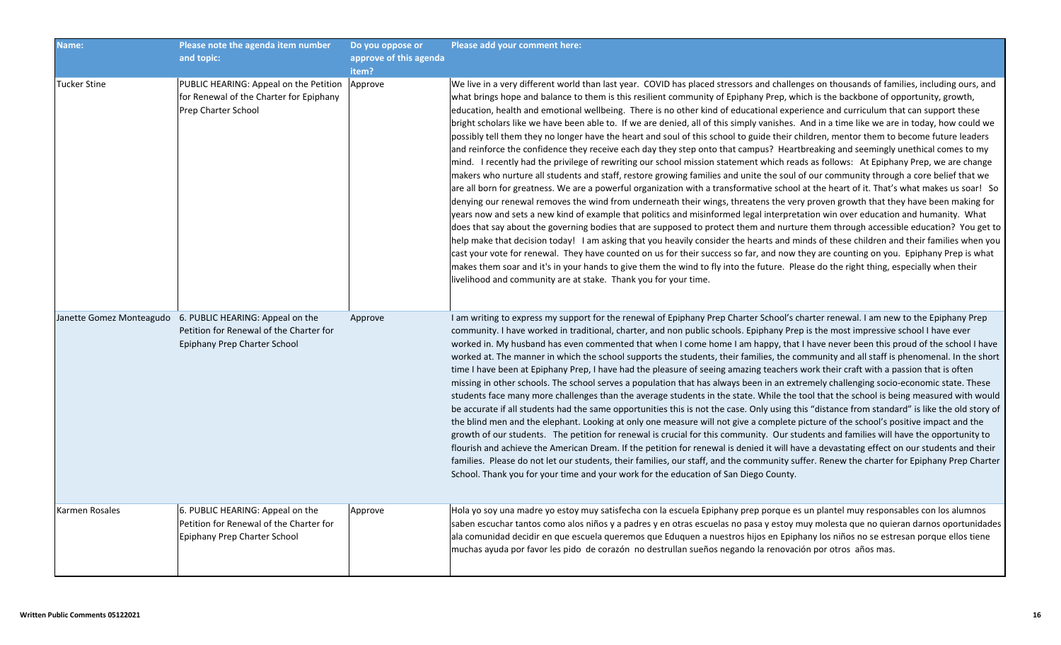| Name:          | Please note the agenda item number<br>and topic:                                                                                     | Do you oppose or<br>approve of this agenda<br>item? | Please add your comment here:                                                                                                                                                                                                                                                                                                                                                                                                                                                                                                                                                                                                                                                                                                                                                                                                                                                                                                                                                                                                                                                                                                                                                                                                                                                                                                                                                                                                                                                                                                                                                                                                                                                                                                                                                                                                                                                                                                                                                                                                                                                                                                                                                                  |
|----------------|--------------------------------------------------------------------------------------------------------------------------------------|-----------------------------------------------------|------------------------------------------------------------------------------------------------------------------------------------------------------------------------------------------------------------------------------------------------------------------------------------------------------------------------------------------------------------------------------------------------------------------------------------------------------------------------------------------------------------------------------------------------------------------------------------------------------------------------------------------------------------------------------------------------------------------------------------------------------------------------------------------------------------------------------------------------------------------------------------------------------------------------------------------------------------------------------------------------------------------------------------------------------------------------------------------------------------------------------------------------------------------------------------------------------------------------------------------------------------------------------------------------------------------------------------------------------------------------------------------------------------------------------------------------------------------------------------------------------------------------------------------------------------------------------------------------------------------------------------------------------------------------------------------------------------------------------------------------------------------------------------------------------------------------------------------------------------------------------------------------------------------------------------------------------------------------------------------------------------------------------------------------------------------------------------------------------------------------------------------------------------------------------------------------|
| Tucker Stine   | PUBLIC HEARING: Appeal on the Petition<br>for Renewal of the Charter for Epiphany<br>Prep Charter School                             | Approve                                             | We live in a very different world than last year. COVID has placed stressors and challenges on thousands of families, including ours, and<br>what brings hope and balance to them is this resilient community of Epiphany Prep, which is the backbone of opportunity, growth,<br>education, health and emotional wellbeing. There is no other kind of educational experience and curriculum that can support these<br>bright scholars like we have been able to. If we are denied, all of this simply vanishes. And in a time like we are in today, how could we<br>possibly tell them they no longer have the heart and soul of this school to guide their children, mentor them to become future leaders<br>and reinforce the confidence they receive each day they step onto that campus? Heartbreaking and seemingly unethical comes to my<br>mind. I recently had the privilege of rewriting our school mission statement which reads as follows: At Epiphany Prep, we are change<br>makers who nurture all students and staff, restore growing families and unite the soul of our community through a core belief that we<br>are all born for greatness. We are a powerful organization with a transformative school at the heart of it. That's what makes us soar! So<br>denying our renewal removes the wind from underneath their wings, threatens the very proven growth that they have been making for<br>years now and sets a new kind of example that politics and misinformed legal interpretation win over education and humanity. What<br>does that say about the governing bodies that are supposed to protect them and nurture them through accessible education? You get to<br>help make that decision today! I am asking that you heavily consider the hearts and minds of these children and their families when you<br>cast your vote for renewal. They have counted on us for their success so far, and now they are counting on you. Epiphany Prep is what<br>makes them soar and it's in your hands to give them the wind to fly into the future. Please do the right thing, especially when their<br>livelihood and community are at stake. Thank you for your time. |
|                | Janette Gomez Monteagudo 6. PUBLIC HEARING: Appeal on the<br>Petition for Renewal of the Charter for<br>Epiphany Prep Charter School | Approve                                             | I am writing to express my support for the renewal of Epiphany Prep Charter School's charter renewal. I am new to the Epiphany Prep<br>community. I have worked in traditional, charter, and non public schools. Epiphany Prep is the most impressive school I have ever<br>worked in. My husband has even commented that when I come home I am happy, that I have never been this proud of the school I have<br>worked at. The manner in which the school supports the students, their families, the community and all staff is phenomenal. In the short<br>time I have been at Epiphany Prep, I have had the pleasure of seeing amazing teachers work their craft with a passion that is often<br>missing in other schools. The school serves a population that has always been in an extremely challenging socio-economic state. These<br>students face many more challenges than the average students in the state. While the tool that the school is being measured with would<br>be accurate if all students had the same opportunities this is not the case. Only using this "distance from standard" is like the old story of<br>the blind men and the elephant. Looking at only one measure will not give a complete picture of the school's positive impact and the<br>growth of our students. The petition for renewal is crucial for this community. Our students and families will have the opportunity to<br>flourish and achieve the American Dream. If the petition for renewal is denied it will have a devastating effect on our students and their<br>families. Please do not let our students, their families, our staff, and the community suffer. Renew the charter for Epiphany Prep Charter<br>School. Thank you for your time and your work for the education of San Diego County.                                                                                                                                                                                                                                                                                                                                                                                    |
| Karmen Rosales | 6. PUBLIC HEARING: Appeal on the<br>Petition for Renewal of the Charter for<br>Epiphany Prep Charter School                          | Approve                                             | Hola yo soy una madre yo estoy muy satisfecha con la escuela Epiphany prep porque es un plantel muy responsables con los alumnos<br>saben escuchar tantos como alos niños y a padres y en otras escuelas no pasa y estoy muy molesta que no quieran darnos oportunidades<br>ala comunidad decidir en que escuela queremos que Eduquen a nuestros hijos en Epiphany los niños no se estresan porque ellos tiene<br>muchas ayuda por favor les pido de corazón no destrullan sueños negando la renovación por otros años mas.                                                                                                                                                                                                                                                                                                                                                                                                                                                                                                                                                                                                                                                                                                                                                                                                                                                                                                                                                                                                                                                                                                                                                                                                                                                                                                                                                                                                                                                                                                                                                                                                                                                                    |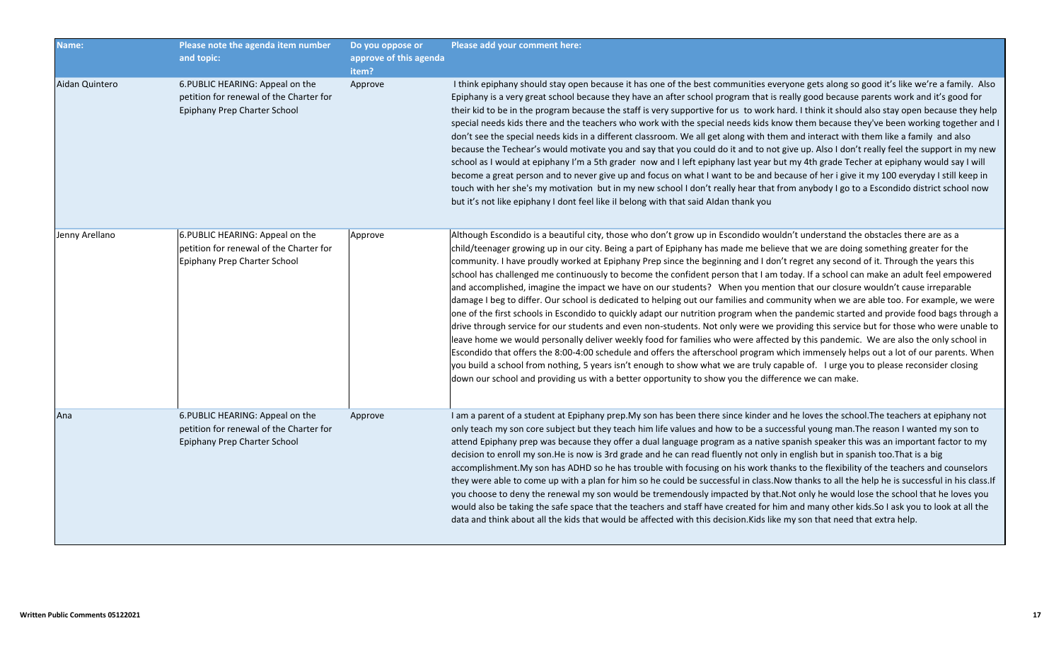| Name:          | Please note the agenda item number<br>and topic:                                                            | Do you oppose or<br>approve of this agenda<br>item? | Please add your comment here:                                                                                                                                                                                                                                                                                                                                                                                                                                                                                                                                                                                                                                                                                                                                                                                                                                                                                                                                                                                                                                                                                                                                                                                                                                                                                                                                                                                                                                                                                                                                                                                                    |
|----------------|-------------------------------------------------------------------------------------------------------------|-----------------------------------------------------|----------------------------------------------------------------------------------------------------------------------------------------------------------------------------------------------------------------------------------------------------------------------------------------------------------------------------------------------------------------------------------------------------------------------------------------------------------------------------------------------------------------------------------------------------------------------------------------------------------------------------------------------------------------------------------------------------------------------------------------------------------------------------------------------------------------------------------------------------------------------------------------------------------------------------------------------------------------------------------------------------------------------------------------------------------------------------------------------------------------------------------------------------------------------------------------------------------------------------------------------------------------------------------------------------------------------------------------------------------------------------------------------------------------------------------------------------------------------------------------------------------------------------------------------------------------------------------------------------------------------------------|
| Aidan Quintero | 6. PUBLIC HEARING: Appeal on the<br>petition for renewal of the Charter for<br>Epiphany Prep Charter School | Approve                                             | I think epiphany should stay open because it has one of the best communities everyone gets along so good it's like we're a family. Also<br>Epiphany is a very great school because they have an after school program that is really good because parents work and it's good for<br>their kid to be in the program because the staff is very supportive for us to work hard. I think it should also stay open because they help<br>special needs kids there and the teachers who work with the special needs kids know them because they've been working together and I<br>don't see the special needs kids in a different classroom. We all get along with them and interact with them like a family and also<br>because the Techear's would motivate you and say that you could do it and to not give up. Also I don't really feel the support in my new<br>school as I would at epiphany I'm a 5th grader now and I left epiphany last year but my 4th grade Techer at epiphany would say I will<br>become a great person and to never give up and focus on what I want to be and because of her i give it my 100 everyday I still keep in<br>touch with her she's my motivation but in my new school I don't really hear that from anybody I go to a Escondido district school now<br>but it's not like epiphany I dont feel like il belong with that said Aldan thank you                                                                                                                                                                                                                                                    |
| Jenny Arellano | 6.PUBLIC HEARING: Appeal on the<br>petition for renewal of the Charter for<br>Epiphany Prep Charter School  | Approve                                             | Although Escondido is a beautiful city, those who don't grow up in Escondido wouldn't understand the obstacles there are as a<br>child/teenager growing up in our city. Being a part of Epiphany has made me believe that we are doing something greater for the<br>community. I have proudly worked at Epiphany Prep since the beginning and I don't regret any second of it. Through the years this<br>school has challenged me continuously to become the confident person that I am today. If a school can make an adult feel empowered<br>and accomplished, imagine the impact we have on our students? When you mention that our closure wouldn't cause irreparable<br>damage I beg to differ. Our school is dedicated to helping out our families and community when we are able too. For example, we were<br>one of the first schools in Escondido to quickly adapt our nutrition program when the pandemic started and provide food bags through a<br>drive through service for our students and even non-students. Not only were we providing this service but for those who were unable to<br>leave home we would personally deliver weekly food for families who were affected by this pandemic. We are also the only school in<br>Escondido that offers the 8:00-4:00 schedule and offers the afterschool program which immensely helps out a lot of our parents. When<br>you build a school from nothing, 5 years isn't enough to show what we are truly capable of. I urge you to please reconsider closing<br>down our school and providing us with a better opportunity to show you the difference we can make. |
| Ana            | 6. PUBLIC HEARING: Appeal on the<br>petition for renewal of the Charter for<br>Epiphany Prep Charter School | Approve                                             | I am a parent of a student at Epiphany prep. My son has been there since kinder and he loves the school. The teachers at epiphany not<br>only teach my son core subject but they teach him life values and how to be a successful young man. The reason I wanted my son to<br>attend Epiphany prep was because they offer a dual language program as a native spanish speaker this was an important factor to my<br>decision to enroll my son. He is now is 3rd grade and he can read fluently not only in english but in spanish too. That is a big<br>accomplishment. My son has ADHD so he has trouble with focusing on his work thanks to the flexibility of the teachers and counselors<br>they were able to come up with a plan for him so he could be successful in class. Now thanks to all the help he is successful in his class. If<br>you choose to deny the renewal my son would be tremendously impacted by that.Not only he would lose the school that he loves you<br>would also be taking the safe space that the teachers and staff have created for him and many other kids.So I ask you to look at all the<br>data and think about all the kids that would be affected with this decision. Kids like my son that need that extra help.                                                                                                                                                                                                                                                                                                                                                                       |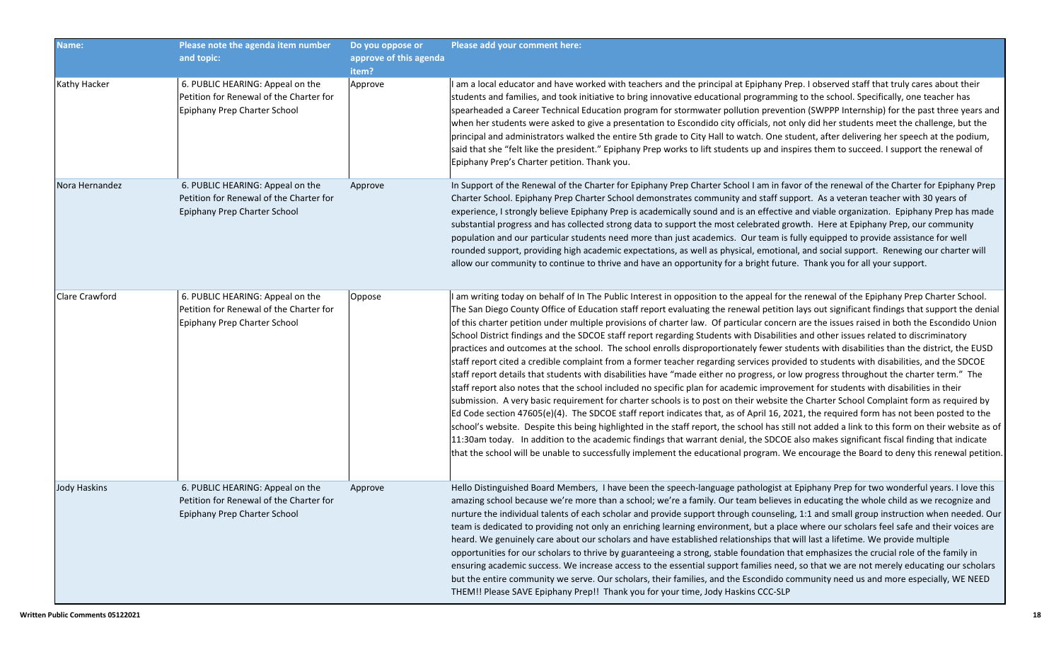| Name:               | Please note the agenda item number<br>and topic:                                                            | Do you oppose or<br>approve of this agenda<br>item? | Please add your comment here:                                                                                                                                                                                                                                                                                                                                                                                                                                                                                                                                                                                                                                                                                                                                                                                                                                                                                                                                                                                                                                                                                                                                                                                                                                                                                                                                                                                                                                                                                                                                                                                                                                                                                                                                                                                                                                               |
|---------------------|-------------------------------------------------------------------------------------------------------------|-----------------------------------------------------|-----------------------------------------------------------------------------------------------------------------------------------------------------------------------------------------------------------------------------------------------------------------------------------------------------------------------------------------------------------------------------------------------------------------------------------------------------------------------------------------------------------------------------------------------------------------------------------------------------------------------------------------------------------------------------------------------------------------------------------------------------------------------------------------------------------------------------------------------------------------------------------------------------------------------------------------------------------------------------------------------------------------------------------------------------------------------------------------------------------------------------------------------------------------------------------------------------------------------------------------------------------------------------------------------------------------------------------------------------------------------------------------------------------------------------------------------------------------------------------------------------------------------------------------------------------------------------------------------------------------------------------------------------------------------------------------------------------------------------------------------------------------------------------------------------------------------------------------------------------------------------|
| Kathy Hacker        | 6. PUBLIC HEARING: Appeal on the<br>Petition for Renewal of the Charter for<br>Epiphany Prep Charter School | Approve                                             | I am a local educator and have worked with teachers and the principal at Epiphany Prep. I observed staff that truly cares about their<br>students and families, and took initiative to bring innovative educational programming to the school. Specifically, one teacher has<br>spearheaded a Career Technical Education program for stormwater pollution prevention (SWPPP Internship) for the past three years and<br>when her students were asked to give a presentation to Escondido city officials, not only did her students meet the challenge, but the<br>principal and administrators walked the entire 5th grade to City Hall to watch. One student, after delivering her speech at the podium,<br>said that she "felt like the president." Epiphany Prep works to lift students up and inspires them to succeed. I support the renewal of<br>Epiphany Prep's Charter petition. Thank you.                                                                                                                                                                                                                                                                                                                                                                                                                                                                                                                                                                                                                                                                                                                                                                                                                                                                                                                                                                        |
| Nora Hernandez      | 6. PUBLIC HEARING: Appeal on the<br>Petition for Renewal of the Charter for<br>Epiphany Prep Charter School | Approve                                             | In Support of the Renewal of the Charter for Epiphany Prep Charter School I am in favor of the renewal of the Charter for Epiphany Prep<br>Charter School. Epiphany Prep Charter School demonstrates community and staff support. As a veteran teacher with 30 years of<br>experience, I strongly believe Epiphany Prep is academically sound and is an effective and viable organization. Epiphany Prep has made<br>substantial progress and has collected strong data to support the most celebrated growth. Here at Epiphany Prep, our community<br>population and our particular students need more than just academics. Our team is fully equipped to provide assistance for well<br>rounded support, providing high academic expectations, as well as physical, emotional, and social support. Renewing our charter will<br>allow our community to continue to thrive and have an opportunity for a bright future. Thank you for all your support.                                                                                                                                                                                                                                                                                                                                                                                                                                                                                                                                                                                                                                                                                                                                                                                                                                                                                                                    |
| Clare Crawford      | 6. PUBLIC HEARING: Appeal on the<br>Petition for Renewal of the Charter for<br>Epiphany Prep Charter School | Oppose                                              | I am writing today on behalf of In The Public Interest in opposition to the appeal for the renewal of the Epiphany Prep Charter School.<br>The San Diego County Office of Education staff report evaluating the renewal petition lays out significant findings that support the denial<br>of this charter petition under multiple provisions of charter law. Of particular concern are the issues raised in both the Escondido Union<br>School District findings and the SDCOE staff report regarding Students with Disabilities and other issues related to discriminatory<br>practices and outcomes at the school. The school enrolls disproportionately fewer students with disabilities than the district, the EUSD<br>staff report cited a credible complaint from a former teacher regarding services provided to students with disabilities, and the SDCOE<br>staff report details that students with disabilities have "made either no progress, or low progress throughout the charter term." The<br>staff report also notes that the school included no specific plan for academic improvement for students with disabilities in their<br>submission. A very basic requirement for charter schools is to post on their website the Charter School Complaint form as required by<br>Ed Code section 47605(e)(4). The SDCOE staff report indicates that, as of April 16, 2021, the required form has not been posted to the<br>school's website. Despite this being highlighted in the staff report, the school has still not added a link to this form on their website as of<br>11:30am today. In addition to the academic findings that warrant denial, the SDCOE also makes significant fiscal finding that indicate<br>that the school will be unable to successfully implement the educational program. We encourage the Board to deny this renewal petition. |
| <b>Jody Haskins</b> | 6. PUBLIC HEARING: Appeal on the<br>Petition for Renewal of the Charter for<br>Epiphany Prep Charter School | Approve                                             | Hello Distinguished Board Members, I have been the speech-language pathologist at Epiphany Prep for two wonderful years. I love this<br>amazing school because we're more than a school; we're a family. Our team believes in educating the whole child as we recognize and<br>nurture the individual talents of each scholar and provide support through counseling, 1:1 and small group instruction when needed. Our<br>team is dedicated to providing not only an enriching learning environment, but a place where our scholars feel safe and their voices are<br>heard. We genuinely care about our scholars and have established relationships that will last a lifetime. We provide multiple<br>opportunities for our scholars to thrive by guaranteeing a strong, stable foundation that emphasizes the crucial role of the family in<br>ensuring academic success. We increase access to the essential support families need, so that we are not merely educating our scholars<br>but the entire community we serve. Our scholars, their families, and the Escondido community need us and more especially, WE NEED<br>THEM!! Please SAVE Epiphany Prep!! Thank you for your time, Jody Haskins CCC-SLP                                                                                                                                                                                                                                                                                                                                                                                                                                                                                                                                                                                                                                                            |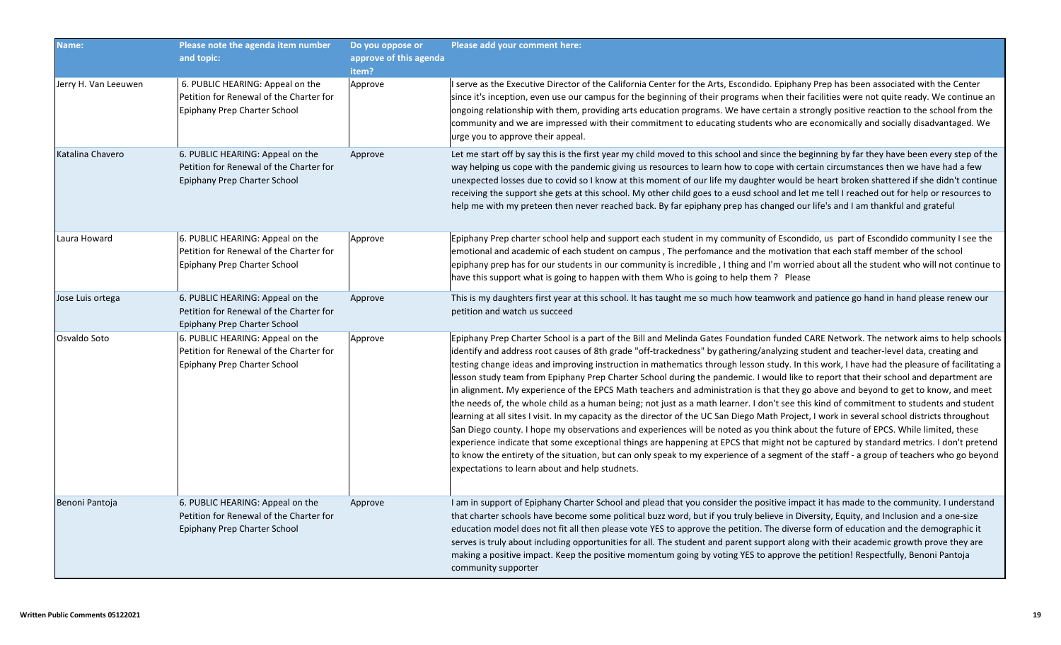| Name:                | Please note the agenda item number<br>and topic:                                                            | Do you oppose or<br>approve of this agenda<br>item? | Please add your comment here:                                                                                                                                                                                                                                                                                                                                                                                                                                                                                                                                                                                                                                                                                                                                                                                                                                                                                                                                                                                                                                                                                                                                                                                                                                                                                                                                                                                                                                                       |
|----------------------|-------------------------------------------------------------------------------------------------------------|-----------------------------------------------------|-------------------------------------------------------------------------------------------------------------------------------------------------------------------------------------------------------------------------------------------------------------------------------------------------------------------------------------------------------------------------------------------------------------------------------------------------------------------------------------------------------------------------------------------------------------------------------------------------------------------------------------------------------------------------------------------------------------------------------------------------------------------------------------------------------------------------------------------------------------------------------------------------------------------------------------------------------------------------------------------------------------------------------------------------------------------------------------------------------------------------------------------------------------------------------------------------------------------------------------------------------------------------------------------------------------------------------------------------------------------------------------------------------------------------------------------------------------------------------------|
| Jerry H. Van Leeuwen | 6. PUBLIC HEARING: Appeal on the<br>Petition for Renewal of the Charter for<br>Epiphany Prep Charter School | Approve                                             | I serve as the Executive Director of the California Center for the Arts, Escondido. Epiphany Prep has been associated with the Center<br>since it's inception, even use our campus for the beginning of their programs when their facilities were not quite ready. We continue an<br>ongoing relationship with them, providing arts education programs. We have certain a strongly positive reaction to the school from the<br>community and we are impressed with their commitment to educating students who are economically and socially disadvantaged. We<br>urge you to approve their appeal.                                                                                                                                                                                                                                                                                                                                                                                                                                                                                                                                                                                                                                                                                                                                                                                                                                                                                  |
| Katalina Chavero     | 6. PUBLIC HEARING: Appeal on the<br>Petition for Renewal of the Charter for<br>Epiphany Prep Charter School | Approve                                             | Let me start off by say this is the first year my child moved to this school and since the beginning by far they have been every step of the<br>way helping us cope with the pandemic giving us resources to learn how to cope with certain circumstances then we have had a few<br>unexpected losses due to covid so I know at this moment of our life my daughter would be heart broken shattered if she didn't continue<br>receiving the support she gets at this school. My other child goes to a eusd school and let me tell I reached out for help or resources to<br>help me with my preteen then never reached back. By far epiphany prep has changed our life's and I am thankful and grateful                                                                                                                                                                                                                                                                                                                                                                                                                                                                                                                                                                                                                                                                                                                                                                             |
| Laura Howard         | 6. PUBLIC HEARING: Appeal on the<br>Petition for Renewal of the Charter for<br>Epiphany Prep Charter School | Approve                                             | Epiphany Prep charter school help and support each student in my community of Escondido, us part of Escondido community I see the<br>emotional and academic of each student on campus, The perfomance and the motivation that each staff member of the school<br>epiphany prep has for our students in our community is incredible , I thing and I'm worried about all the student who will not continue to $ $<br>have this support what is going to happen with them Who is going to help them? Please                                                                                                                                                                                                                                                                                                                                                                                                                                                                                                                                                                                                                                                                                                                                                                                                                                                                                                                                                                            |
| Jose Luis ortega     | 6. PUBLIC HEARING: Appeal on the<br>Petition for Renewal of the Charter for<br>Epiphany Prep Charter School | Approve                                             | This is my daughters first year at this school. It has taught me so much how teamwork and patience go hand in hand please renew our<br>petition and watch us succeed                                                                                                                                                                                                                                                                                                                                                                                                                                                                                                                                                                                                                                                                                                                                                                                                                                                                                                                                                                                                                                                                                                                                                                                                                                                                                                                |
| Osvaldo Soto         | 6. PUBLIC HEARING: Appeal on the<br>Petition for Renewal of the Charter for<br>Epiphany Prep Charter School | Approve                                             | Epiphany Prep Charter School is a part of the Bill and Melinda Gates Foundation funded CARE Network. The network aims to help schools<br>identify and address root causes of 8th grade "off-trackedness" by gathering/analyzing student and teacher-level data, creating and<br>testing change ideas and improving instruction in mathematics through lesson study. In this work, I have had the pleasure of facilitating a<br>lesson study team from Epiphany Prep Charter School during the pandemic. I would like to report that their school and department are<br>in alignment. My experience of the EPCS Math teachers and administration is that they go above and beyond to get to know, and meet<br>the needs of, the whole child as a human being; not just as a math learner. I don't see this kind of commitment to students and student<br>learning at all sites I visit. In my capacity as the director of the UC San Diego Math Project, I work in several school districts throughout<br>San Diego county. I hope my observations and experiences will be noted as you think about the future of EPCS. While limited, these<br>experience indicate that some exceptional things are happening at EPCS that might not be captured by standard metrics. I don't pretend<br>to know the entirety of the situation, but can only speak to my experience of a segment of the staff - a group of teachers who go beyond<br>expectations to learn about and help studnets. |
| Benoni Pantoja       | 6. PUBLIC HEARING: Appeal on the<br>Petition for Renewal of the Charter for<br>Epiphany Prep Charter School | Approve                                             | I am in support of Epiphany Charter School and plead that you consider the positive impact it has made to the community. I understand<br>that charter schools have become some political buzz word, but if you truly believe in Diversity, Equity, and Inclusion and a one-size<br>education model does not fit all then please vote YES to approve the petition. The diverse form of education and the demographic it<br>serves is truly about including opportunities for all. The student and parent support along with their academic growth prove they are<br>making a positive impact. Keep the positive momentum going by voting YES to approve the petition! Respectfully, Benoni Pantoja<br>community supporter                                                                                                                                                                                                                                                                                                                                                                                                                                                                                                                                                                                                                                                                                                                                                            |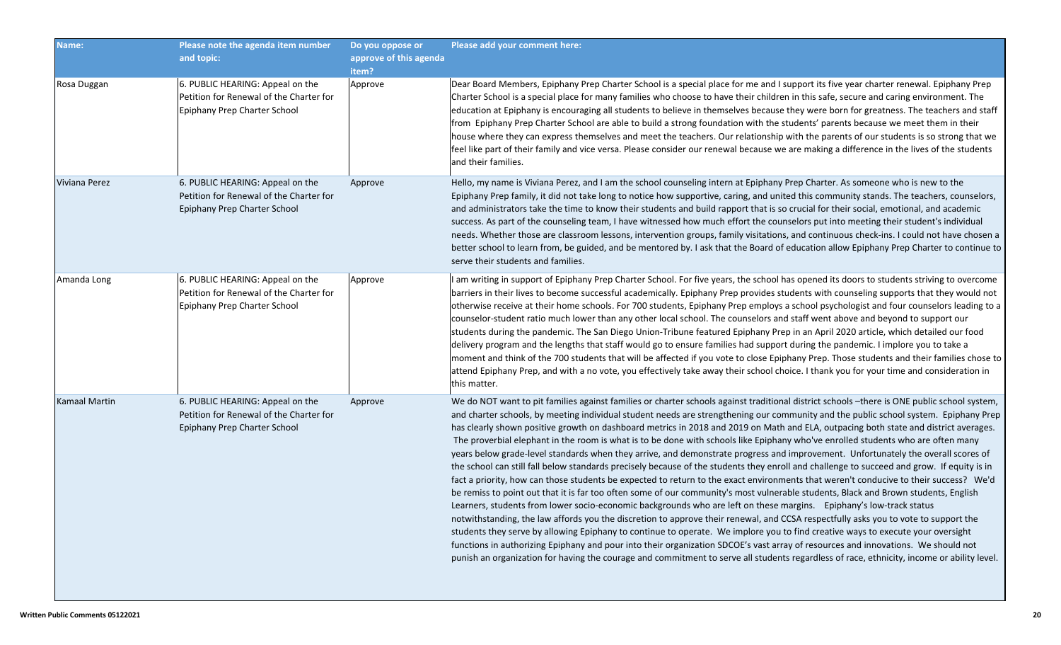| Name:         | Please note the agenda item number<br>and topic:                                                            | Do you oppose or<br>approve of this agenda<br>item? | Please add your comment here:                                                                                                                                                                                                                                                                                                                                                                                                                                                                                                                                                                                                                                                                                                                                                                                                                                                                                                                                                                                                                                                                                                                                                                                                                                                                                                                                                                                                                                                                                                                                                                                                                                                                                                                                                                                           |
|---------------|-------------------------------------------------------------------------------------------------------------|-----------------------------------------------------|-------------------------------------------------------------------------------------------------------------------------------------------------------------------------------------------------------------------------------------------------------------------------------------------------------------------------------------------------------------------------------------------------------------------------------------------------------------------------------------------------------------------------------------------------------------------------------------------------------------------------------------------------------------------------------------------------------------------------------------------------------------------------------------------------------------------------------------------------------------------------------------------------------------------------------------------------------------------------------------------------------------------------------------------------------------------------------------------------------------------------------------------------------------------------------------------------------------------------------------------------------------------------------------------------------------------------------------------------------------------------------------------------------------------------------------------------------------------------------------------------------------------------------------------------------------------------------------------------------------------------------------------------------------------------------------------------------------------------------------------------------------------------------------------------------------------------|
| Rosa Duggan   | 6. PUBLIC HEARING: Appeal on the<br>Petition for Renewal of the Charter for<br>Epiphany Prep Charter School | Approve                                             | Dear Board Members, Epiphany Prep Charter School is a special place for me and I support its five year charter renewal. Epiphany Prep<br>Charter School is a special place for many families who choose to have their children in this safe, secure and caring environment. The<br>education at Epiphany is encouraging all students to believe in themselves because they were born for greatness. The teachers and staff<br>from Epiphany Prep Charter School are able to build a strong foundation with the students' parents because we meet them in their<br>house where they can express themselves and meet the teachers. Our relationship with the parents of our students is so strong that we<br>feel like part of their family and vice versa. Please consider our renewal because we are making a difference in the lives of the students<br>and their families.                                                                                                                                                                                                                                                                                                                                                                                                                                                                                                                                                                                                                                                                                                                                                                                                                                                                                                                                            |
| Viviana Perez | 6. PUBLIC HEARING: Appeal on the<br>Petition for Renewal of the Charter for<br>Epiphany Prep Charter School | Approve                                             | Hello, my name is Viviana Perez, and I am the school counseling intern at Epiphany Prep Charter. As someone who is new to the<br>Epiphany Prep family, it did not take long to notice how supportive, caring, and united this community stands. The teachers, counselors,<br>and administrators take the time to know their students and build rapport that is so crucial for their social, emotional, and academic<br>success. As part of the counseling team, I have witnessed how much effort the counselors put into meeting their student's individual<br>needs. Whether those are classroom lessons, intervention groups, family visitations, and continuous check-ins. I could not have chosen a<br>better school to learn from, be guided, and be mentored by. I ask that the Board of education allow Epiphany Prep Charter to continue to<br>serve their students and families.                                                                                                                                                                                                                                                                                                                                                                                                                                                                                                                                                                                                                                                                                                                                                                                                                                                                                                                               |
| Amanda Long   | 6. PUBLIC HEARING: Appeal on the<br>Petition for Renewal of the Charter for<br>Epiphany Prep Charter School | Approve                                             | I am writing in support of Epiphany Prep Charter School. For five years, the school has opened its doors to students striving to overcome<br>barriers in their lives to become successful academically. Epiphany Prep provides students with counseling supports that they would not<br>otherwise receive at their home schools. For 700 students, Epiphany Prep employs a school psychologist and four counselors leading to a<br>counselor-student ratio much lower than any other local school. The counselors and staff went above and beyond to support our<br>students during the pandemic. The San Diego Union-Tribune featured Epiphany Prep in an April 2020 article, which detailed our food<br>delivery program and the lengths that staff would go to ensure families had support during the pandemic. I implore you to take a<br>$ $ moment and think of the 700 students that will be affected if you vote to close Epiphany Prep. Those students and their families chose to $ $<br>attend Epiphany Prep, and with a no vote, you effectively take away their school choice. I thank you for your time and consideration in<br>this matter.                                                                                                                                                                                                                                                                                                                                                                                                                                                                                                                                                                                                                                                              |
| Kamaal Martin | 6. PUBLIC HEARING: Appeal on the<br>Petition for Renewal of the Charter for<br>Epiphany Prep Charter School | Approve                                             | We do NOT want to pit families against families or charter schools against traditional district schools --there is ONE public school system,<br>and charter schools, by meeting individual student needs are strengthening our community and the public school system. Epiphany Prep<br>has clearly shown positive growth on dashboard metrics in 2018 and 2019 on Math and ELA, outpacing both state and district averages.<br>The proverbial elephant in the room is what is to be done with schools like Epiphany who've enrolled students who are often many<br>years below grade-level standards when they arrive, and demonstrate progress and improvement. Unfortunately the overall scores of<br>the school can still fall below standards precisely because of the students they enroll and challenge to succeed and grow. If equity is in<br>fact a priority, how can those students be expected to return to the exact environments that weren't conducive to their success? We'd<br>be remiss to point out that it is far too often some of our community's most vulnerable students, Black and Brown students, English<br>Learners, students from lower socio-economic backgrounds who are left on these margins. Epiphany's low-track status<br>notwithstanding, the law affords you the discretion to approve their renewal, and CCSA respectfully asks you to vote to support the<br>students they serve by allowing Epiphany to continue to operate. We implore you to find creative ways to execute your oversight<br>functions in authorizing Epiphany and pour into their organization SDCOE's vast array of resources and innovations. We should not<br>punish an organization for having the courage and commitment to serve all students regardless of race, ethnicity, income or ability level. |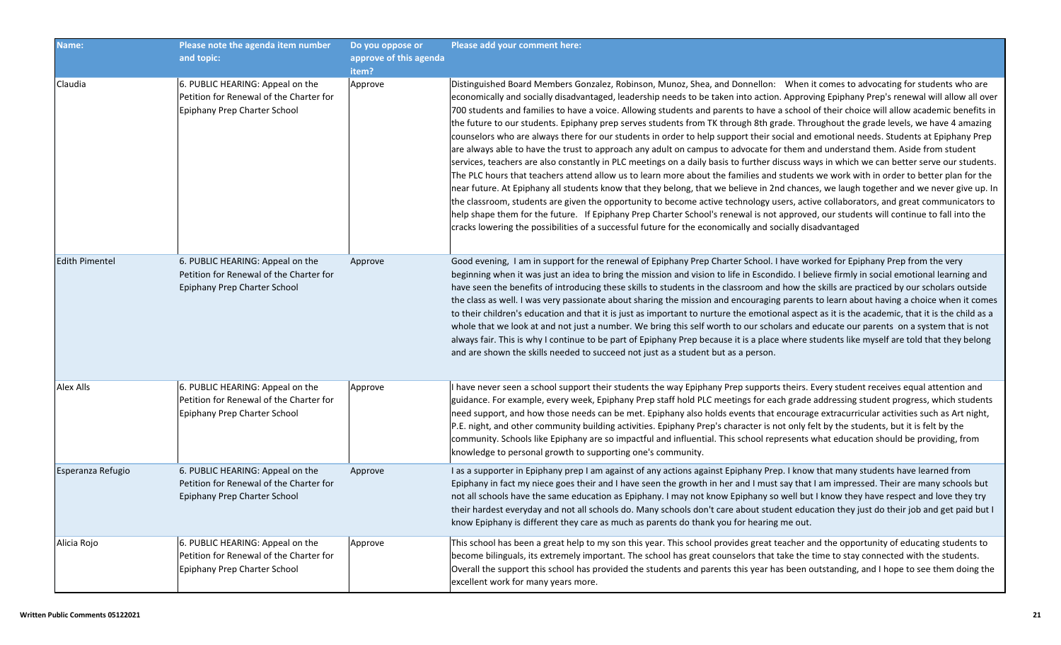| Name:                 | Please note the agenda item number<br>and topic:                                                            | Do you oppose or<br>approve of this agenda<br>item? | Please add your comment here:                                                                                                                                                                                                                                                                                                                                                                                                                                                                                                                                                                                                                                                                                                                                                                                                                                                                                                                                                                                                                                                                                                                                                                                                                                                                                                                                                                                                                                                                                                                                                                                                                                             |
|-----------------------|-------------------------------------------------------------------------------------------------------------|-----------------------------------------------------|---------------------------------------------------------------------------------------------------------------------------------------------------------------------------------------------------------------------------------------------------------------------------------------------------------------------------------------------------------------------------------------------------------------------------------------------------------------------------------------------------------------------------------------------------------------------------------------------------------------------------------------------------------------------------------------------------------------------------------------------------------------------------------------------------------------------------------------------------------------------------------------------------------------------------------------------------------------------------------------------------------------------------------------------------------------------------------------------------------------------------------------------------------------------------------------------------------------------------------------------------------------------------------------------------------------------------------------------------------------------------------------------------------------------------------------------------------------------------------------------------------------------------------------------------------------------------------------------------------------------------------------------------------------------------|
| Claudia               | 6. PUBLIC HEARING: Appeal on the<br>Petition for Renewal of the Charter for<br>Epiphany Prep Charter School | Approve                                             | Distinguished Board Members Gonzalez, Robinson, Munoz, Shea, and Donnellon: When it comes to advocating for students who are<br>economically and socially disadvantaged, leadership needs to be taken into action. Approving Epiphany Prep's renewal will allow all over<br>700 students and families to have a voice. Allowing students and parents to have a school of their choice will allow academic benefits in<br>the future to our students. Epiphany prep serves students from TK through 8th grade. Throughout the grade levels, we have 4 amazing<br>counselors who are always there for our students in order to help support their social and emotional needs. Students at Epiphany Prep<br>are always able to have the trust to approach any adult on campus to advocate for them and understand them. Aside from student<br>services, teachers are also constantly in PLC meetings on a daily basis to further discuss ways in which we can better serve our students.<br>The PLC hours that teachers attend allow us to learn more about the families and students we work with in order to better plan for the<br>near future. At Epiphany all students know that they belong, that we believe in 2nd chances, we laugh together and we never give up. In<br>the classroom, students are given the opportunity to become active technology users, active collaborators, and great communicators to<br>help shape them for the future. If Epiphany Prep Charter School's renewal is not approved, our students will continue to fall into the<br>cracks lowering the possibilities of a successful future for the economically and socially disadvantaged |
| <b>Edith Pimentel</b> | 6. PUBLIC HEARING: Appeal on the<br>Petition for Renewal of the Charter for<br>Epiphany Prep Charter School | Approve                                             | Good evening, I am in support for the renewal of Epiphany Prep Charter School. I have worked for Epiphany Prep from the very<br>beginning when it was just an idea to bring the mission and vision to life in Escondido. I believe firmly in social emotional learning and<br>have seen the benefits of introducing these skills to students in the classroom and how the skills are practiced by our scholars outside<br>the class as well. I was very passionate about sharing the mission and encouraging parents to learn about having a choice when it comes<br>to their children's education and that it is just as important to nurture the emotional aspect as it is the academic, that it is the child as a<br>whole that we look at and not just a number. We bring this self worth to our scholars and educate our parents on a system that is not<br>always fair. This is why I continue to be part of Epiphany Prep because it is a place where students like myself are told that they belong<br>and are shown the skills needed to succeed not just as a student but as a person.                                                                                                                                                                                                                                                                                                                                                                                                                                                                                                                                                                          |
| Alex Alls             | 6. PUBLIC HEARING: Appeal on the<br>Petition for Renewal of the Charter for<br>Epiphany Prep Charter School | Approve                                             | I have never seen a school support their students the way Epiphany Prep supports theirs. Every student receives equal attention and<br>guidance. For example, every week, Epiphany Prep staff hold PLC meetings for each grade addressing student progress, which students<br>need support, and how those needs can be met. Epiphany also holds events that encourage extracurricular activities such as Art night,<br>P.E. night, and other community building activities. Epiphany Prep's character is not only felt by the students, but it is felt by the<br>community. Schools like Epiphany are so impactful and influential. This school represents what education should be providing, from<br>knowledge to personal growth to supporting one's community.                                                                                                                                                                                                                                                                                                                                                                                                                                                                                                                                                                                                                                                                                                                                                                                                                                                                                                        |
| Esperanza Refugio     | 6. PUBLIC HEARING: Appeal on the<br>Petition for Renewal of the Charter for<br>Epiphany Prep Charter School | Approve                                             | I as a supporter in Epiphany prep I am against of any actions against Epiphany Prep. I know that many students have learned from<br>Epiphany in fact my niece goes their and I have seen the growth in her and I must say that I am impressed. Their are many schools but<br>not all schools have the same education as Epiphany. I may not know Epiphany so well but I know they have respect and love they try<br>their hardest everyday and not all schools do. Many schools don't care about student education they just do their job and get paid but I<br>know Epiphany is different they care as much as parents do thank you for hearing me out.                                                                                                                                                                                                                                                                                                                                                                                                                                                                                                                                                                                                                                                                                                                                                                                                                                                                                                                                                                                                                  |
| Alicia Rojo           | 6. PUBLIC HEARING: Appeal on the<br>Petition for Renewal of the Charter for<br>Epiphany Prep Charter School | Approve                                             | This school has been a great help to my son this year. This school provides great teacher and the opportunity of educating students to<br>become bilinguals, its extremely important. The school has great counselors that take the time to stay connected with the students.<br>Overall the support this school has provided the students and parents this year has been outstanding, and I hope to see them doing the<br>excellent work for many years more.                                                                                                                                                                                                                                                                                                                                                                                                                                                                                                                                                                                                                                                                                                                                                                                                                                                                                                                                                                                                                                                                                                                                                                                                            |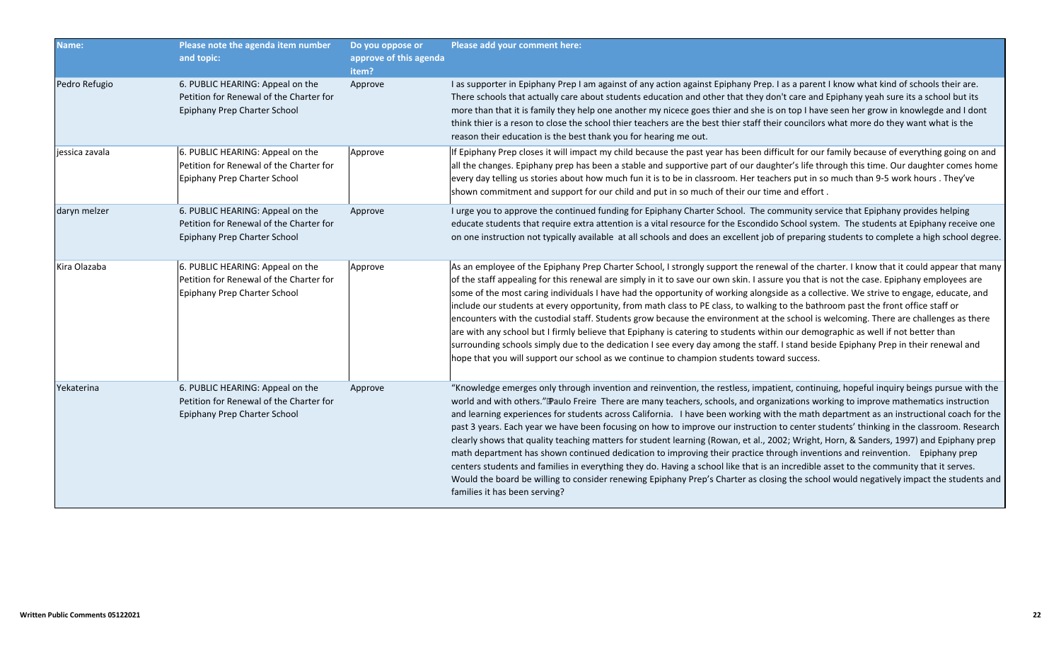| Name:          | Please note the agenda item number<br>and topic:                                                            | Do you oppose or<br>approve of this agenda<br>item? | Please add your comment here:                                                                                                                                                                                                                                                                                                                                                                                                                                                                                                                                                                                                                                                                                                                                                                                                                                                                                                                                                                                                                                                                                                                                       |
|----------------|-------------------------------------------------------------------------------------------------------------|-----------------------------------------------------|---------------------------------------------------------------------------------------------------------------------------------------------------------------------------------------------------------------------------------------------------------------------------------------------------------------------------------------------------------------------------------------------------------------------------------------------------------------------------------------------------------------------------------------------------------------------------------------------------------------------------------------------------------------------------------------------------------------------------------------------------------------------------------------------------------------------------------------------------------------------------------------------------------------------------------------------------------------------------------------------------------------------------------------------------------------------------------------------------------------------------------------------------------------------|
| Pedro Refugio  | 6. PUBLIC HEARING: Appeal on the<br>Petition for Renewal of the Charter for<br>Epiphany Prep Charter School | Approve                                             | I as supporter in Epiphany Prep I am against of any action against Epiphany Prep. I as a parent I know what kind of schools their are.<br>There schools that actually care about students education and other that they don't care and Epiphany yeah sure its a school but its<br>more than that it is family they help one another my nicece goes thier and she is on top I have seen her grow in knowlegde and I dont<br>think thier is a reson to close the school thier teachers are the best thier staff their councilors what more do they want what is the<br>reason their education is the best thank you for hearing me out.                                                                                                                                                                                                                                                                                                                                                                                                                                                                                                                               |
| jessica zavala | 6. PUBLIC HEARING: Appeal on the<br>Petition for Renewal of the Charter for<br>Epiphany Prep Charter School | Approve                                             | If Epiphany Prep closes it will impact my child because the past year has been difficult for our family because of everything going on and<br>all the changes. Epiphany prep has been a stable and supportive part of our daughter's life through this time. Our daughter comes home<br>every day telling us stories about how much fun it is to be in classroom. Her teachers put in so much than 9-5 work hours . They've<br>shown commitment and support for our child and put in so much of their our time and effort.                                                                                                                                                                                                                                                                                                                                                                                                                                                                                                                                                                                                                                          |
| daryn melzer   | 6. PUBLIC HEARING: Appeal on the<br>Petition for Renewal of the Charter for<br>Epiphany Prep Charter School | Approve                                             | I urge you to approve the continued funding for Epiphany Charter School. The community service that Epiphany provides helping<br>educate students that require extra attention is a vital resource for the Escondido School system. The students at Epiphany receive one<br>on one instruction not typically available at all schools and does an excellent job of preparing students to complete a high school degree.                                                                                                                                                                                                                                                                                                                                                                                                                                                                                                                                                                                                                                                                                                                                             |
| Kira Olazaba   | 6. PUBLIC HEARING: Appeal on the<br>Petition for Renewal of the Charter for<br>Epiphany Prep Charter School | Approve                                             | As an employee of the Epiphany Prep Charter School, I strongly support the renewal of the charter. I know that it could appear that many<br>of the staff appealing for this renewal are simply in it to save our own skin. I assure you that is not the case. Epiphany employees are<br>some of the most caring individuals I have had the opportunity of working alongside as a collective. We strive to engage, educate, and<br>include our students at every opportunity, from math class to PE class, to walking to the bathroom past the front office staff or<br>encounters with the custodial staff. Students grow because the environment at the school is welcoming. There are challenges as there<br>are with any school but I firmly believe that Epiphany is catering to students within our demographic as well if not better than<br>surrounding schools simply due to the dedication I see every day among the staff. I stand beside Epiphany Prep in their renewal and<br>hope that you will support our school as we continue to champion students toward success.                                                                                 |
| Yekaterina     | 6. PUBLIC HEARING: Appeal on the<br>Petition for Renewal of the Charter for<br>Epiphany Prep Charter School | Approve                                             | "Knowledge emerges only through invention and reinvention, the restless, impatient, continuing, hopeful inquiry beings pursue with the<br>world and with others." Paulo Freire There are many teachers, schools, and organizations working to improve mathematics instruction<br>and learning experiences for students across California. I have been working with the math department as an instructional coach for the<br>past 3 years. Each year we have been focusing on how to improve our instruction to center students' thinking in the classroom. Research<br>clearly shows that quality teaching matters for student learning (Rowan, et al., 2002; Wright, Horn, & Sanders, 1997) and Epiphany prep<br>math department has shown continued dedication to improving their practice through inventions and reinvention. Epiphany prep<br>centers students and families in everything they do. Having a school like that is an incredible asset to the community that it serves.<br>Would the board be willing to consider renewing Epiphany Prep's Charter as closing the school would negatively impact the students and<br>families it has been serving? |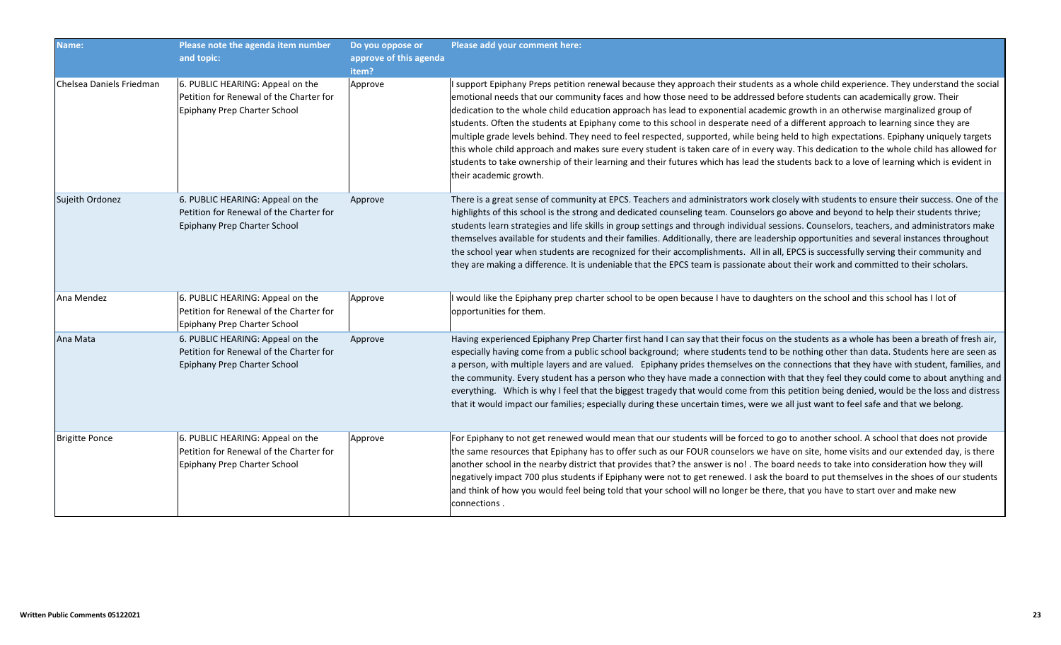| Name:                    | Please note the agenda item number<br>and topic:                                                            | Do you oppose or<br>approve of this agenda<br>item? | Please add your comment here:                                                                                                                                                                                                                                                                                                                                                                                                                                                                                                                                                                                                                                                                                                                                                                                                                                                                                                                                                                          |
|--------------------------|-------------------------------------------------------------------------------------------------------------|-----------------------------------------------------|--------------------------------------------------------------------------------------------------------------------------------------------------------------------------------------------------------------------------------------------------------------------------------------------------------------------------------------------------------------------------------------------------------------------------------------------------------------------------------------------------------------------------------------------------------------------------------------------------------------------------------------------------------------------------------------------------------------------------------------------------------------------------------------------------------------------------------------------------------------------------------------------------------------------------------------------------------------------------------------------------------|
| Chelsea Daniels Friedman | 6. PUBLIC HEARING: Appeal on the<br>Petition for Renewal of the Charter for<br>Epiphany Prep Charter School | Approve                                             | I support Epiphany Preps petition renewal because they approach their students as a whole child experience. They understand the social<br>emotional needs that our community faces and how those need to be addressed before students can academically grow. Their<br>dedication to the whole child education approach has lead to exponential academic growth in an otherwise marginalized group of<br>students. Often the students at Epiphany come to this school in desperate need of a different approach to learning since they are<br>multiple grade levels behind. They need to feel respected, supported, while being held to high expectations. Epiphany uniquely targets<br>this whole child approach and makes sure every student is taken care of in every way. This dedication to the whole child has allowed for<br>students to take ownership of their learning and their futures which has lead the students back to a love of learning which is evident in<br>their academic growth. |
| Sujeith Ordonez          | 6. PUBLIC HEARING: Appeal on the<br>Petition for Renewal of the Charter for<br>Epiphany Prep Charter School | Approve                                             | There is a great sense of community at EPCS. Teachers and administrators work closely with students to ensure their success. One of the<br>highlights of this school is the strong and dedicated counseling team. Counselors go above and beyond to help their students thrive;<br>students learn strategies and life skills in group settings and through individual sessions. Counselors, teachers, and administrators make<br>themselves available for students and their families. Additionally, there are leadership opportunities and several instances throughout<br>the school year when students are recognized for their accomplishments. All in all, EPCS is successfully serving their community and<br>they are making a difference. It is undeniable that the EPCS team is passionate about their work and committed to their scholars.                                                                                                                                                  |
| Ana Mendez               | 6. PUBLIC HEARING: Appeal on the<br>Petition for Renewal of the Charter for<br>Epiphany Prep Charter School | Approve                                             | I would like the Epiphany prep charter school to be open because I have to daughters on the school and this school has I lot of<br>opportunities for them.                                                                                                                                                                                                                                                                                                                                                                                                                                                                                                                                                                                                                                                                                                                                                                                                                                             |
| Ana Mata                 | 6. PUBLIC HEARING: Appeal on the<br>Petition for Renewal of the Charter for<br>Epiphany Prep Charter School | Approve                                             | Having experienced Epiphany Prep Charter first hand I can say that their focus on the students as a whole has been a breath of fresh air,<br>especially having come from a public school background; where students tend to be nothing other than data. Students here are seen as<br>a person, with multiple layers and are valued. Epiphany prides themselves on the connections that they have with student, families, and<br>the community. Every student has a person who they have made a connection with that they feel they could come to about anything and<br>everything. Which is why I feel that the biggest tragedy that would come from this petition being denied, would be the loss and distress<br>that it would impact our families; especially during these uncertain times, were we all just want to feel safe and that we belong.                                                                                                                                                  |
| <b>Brigitte Ponce</b>    | 6. PUBLIC HEARING: Appeal on the<br>Petition for Renewal of the Charter for<br>Epiphany Prep Charter School | Approve                                             | For Epiphany to not get renewed would mean that our students will be forced to go to another school. A school that does not provide<br>the same resources that Epiphany has to offer such as our FOUR counselors we have on site, home visits and our extended day, is there<br>another school in the nearby district that provides that? the answer is no! . The board needs to take into consideration how they will<br>negatively impact 700 plus students if Epiphany were not to get renewed. I ask the board to put themselves in the shoes of our students<br>and think of how you would feel being told that your school will no longer be there, that you have to start over and make new<br>connections.                                                                                                                                                                                                                                                                                     |